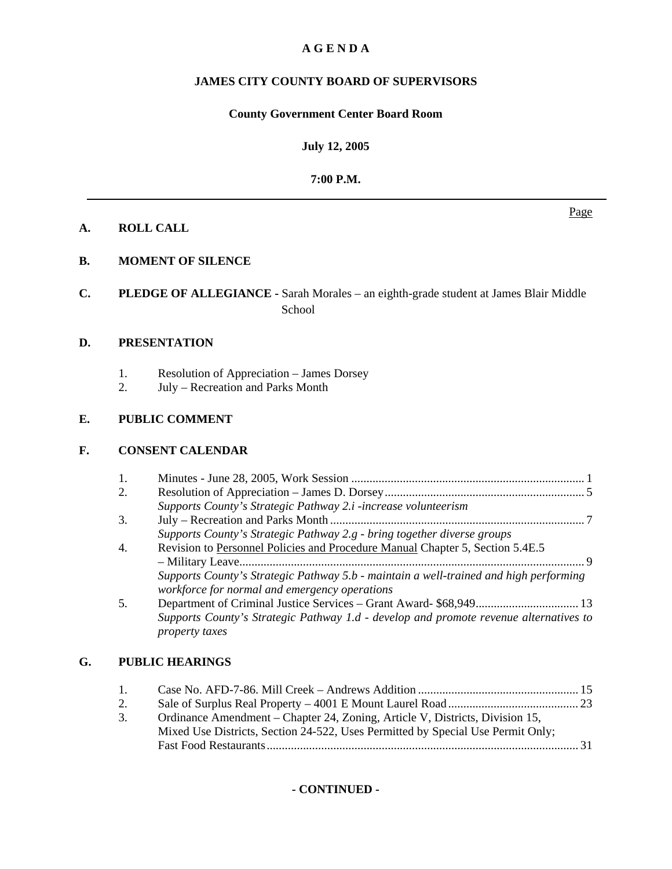# **A G E N D A**

# **JAMES CITY COUNTY BOARD OF SUPERVISORS**

#### **County Government Center Board Room**

#### **July 12, 2005**

#### **7:00 P.M.**

#### **A. ROLL CALL**

# **B. MOMENT OF SILENCE**

**C. PLEDGE OF ALLEGIANCE -** Sarah Morales – an eighth-grade student at James Blair Middle School

#### **D. PRESENTATION**

- 1. Resolution of Appreciation James Dorsey<br>2. July Recreation and Parks Month
- July Recreation and Parks Month

# **E. PUBLIC COMMENT**

#### **F. CONSENT CALENDAR**

|    | 1. |                                                                                                                                        |  |
|----|----|----------------------------------------------------------------------------------------------------------------------------------------|--|
|    | 2. |                                                                                                                                        |  |
|    |    | Supports County's Strategic Pathway 2.i -increase volunteerism                                                                         |  |
|    | 3. |                                                                                                                                        |  |
|    |    | Supports County's Strategic Pathway 2.g - bring together diverse groups                                                                |  |
|    | 4. | Revision to Personnel Policies and Procedure Manual Chapter 5, Section 5.4E.5                                                          |  |
|    |    |                                                                                                                                        |  |
|    |    | Supports County's Strategic Pathway 5.b - maintain a well-trained and high performing<br>workforce for normal and emergency operations |  |
|    | 5. |                                                                                                                                        |  |
|    |    | Supports County's Strategic Pathway 1.d - develop and promote revenue alternatives to<br>property taxes                                |  |
| G. |    | <b>PUBLIC HEARINGS</b>                                                                                                                 |  |
|    |    | 15                                                                                                                                     |  |
|    |    | $\cap$<br>$\mathcal{L}_{\text{old}}$ of Cynulus Deel Dropenty $4001$ E Mount Level Deed                                                |  |

 2. Sale of Surplus Real Property – 4001 E Mount Laurel Road ........................................... 23 3. Ordinance Amendment – Chapter 24, Zoning, Article V, Districts, Division 15, Mixed Use Districts, Section 24-522, Uses Permitted by Special Use Permit Only; Fast Food Restaurants ....................................................................................................... 31

**- CONTINUED -** 

#### Page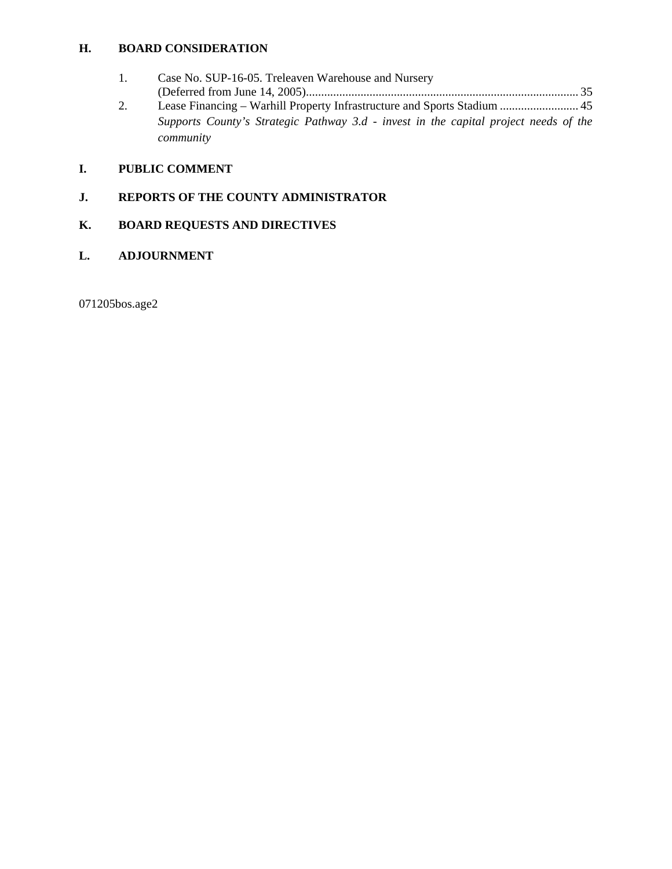# **H. BOARD CONSIDERATION**

*community*

 1. Case No. SUP-16-05. Treleaven Warehouse and Nursery (Deferred from June 14, 2005) .......................................................................................... 35 2. Lease Financing – Warhill Property Infrastructure and Sports Stadium .......................... 45 *Supports County's Strategic Pathway 3.d - invest in the capital project needs of the* 

# **I. PUBLIC COMMENT**

# **J. REPORTS OF THE COUNTY ADMINISTRATOR**

# **K. BOARD REQUESTS AND DIRECTIVES**

#### **L. ADJOURNMENT**

071205bos.age2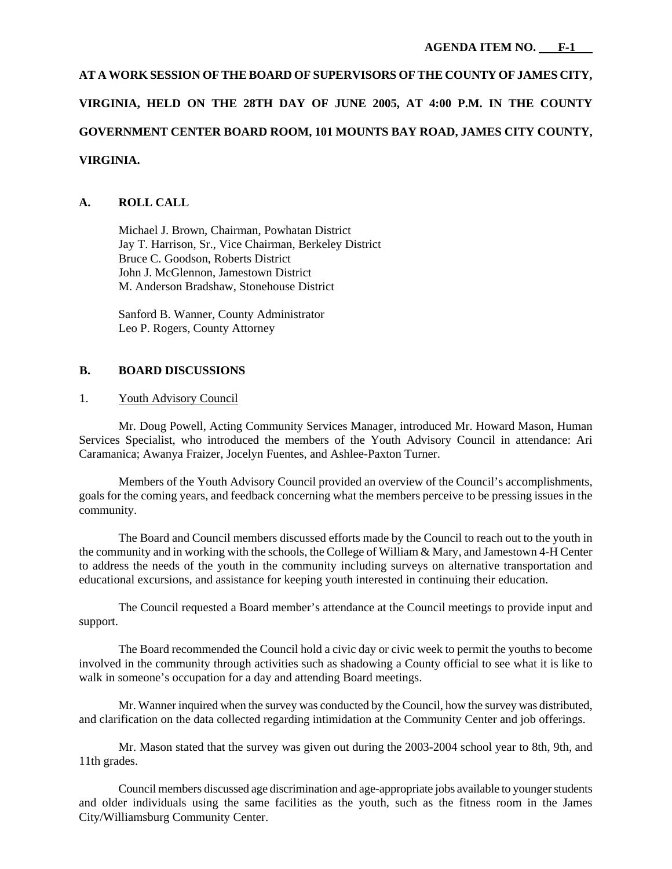# **AT A WORK SESSION OF THE BOARD OF SUPERVISORS OF THE COUNTY OF JAMES CITY, VIRGINIA, HELD ON THE 28TH DAY OF JUNE 2005, AT 4:00 P.M. IN THE COUNTY GOVERNMENT CENTER BOARD ROOM, 101 MOUNTS BAY ROAD, JAMES CITY COUNTY, VIRGINIA.**

# **A. ROLL CALL**

 Michael J. Brown, Chairman, Powhatan District Jay T. Harrison, Sr., Vice Chairman, Berkeley District Bruce C. Goodson, Roberts District John J. McGlennon, Jamestown District M. Anderson Bradshaw, Stonehouse District

 Sanford B. Wanner, County Administrator Leo P. Rogers, County Attorney

# **B. BOARD DISCUSSIONS**

#### 1. Youth Advisory Council

 Mr. Doug Powell, Acting Community Services Manager, introduced Mr. Howard Mason, Human Services Specialist, who introduced the members of the Youth Advisory Council in attendance: Ari Caramanica; Awanya Fraizer, Jocelyn Fuentes, and Ashlee-Paxton Turner.

 Members of the Youth Advisory Council provided an overview of the Council's accomplishments, goals for the coming years, and feedback concerning what the members perceive to be pressing issues in the community.

 The Board and Council members discussed efforts made by the Council to reach out to the youth in the community and in working with the schools, the College of William & Mary, and Jamestown 4-H Center to address the needs of the youth in the community including surveys on alternative transportation and educational excursions, and assistance for keeping youth interested in continuing their education.

 The Council requested a Board member's attendance at the Council meetings to provide input and support.

 The Board recommended the Council hold a civic day or civic week to permit the youths to become involved in the community through activities such as shadowing a County official to see what it is like to walk in someone's occupation for a day and attending Board meetings.

 Mr. Wanner inquired when the survey was conducted by the Council, how the survey was distributed, and clarification on the data collected regarding intimidation at the Community Center and job offerings.

 Mr. Mason stated that the survey was given out during the 2003-2004 school year to 8th, 9th, and 11th grades.

 Council members discussed age discrimination and age-appropriate jobs available to younger students and older individuals using the same facilities as the youth, such as the fitness room in the James City/Williamsburg Community Center.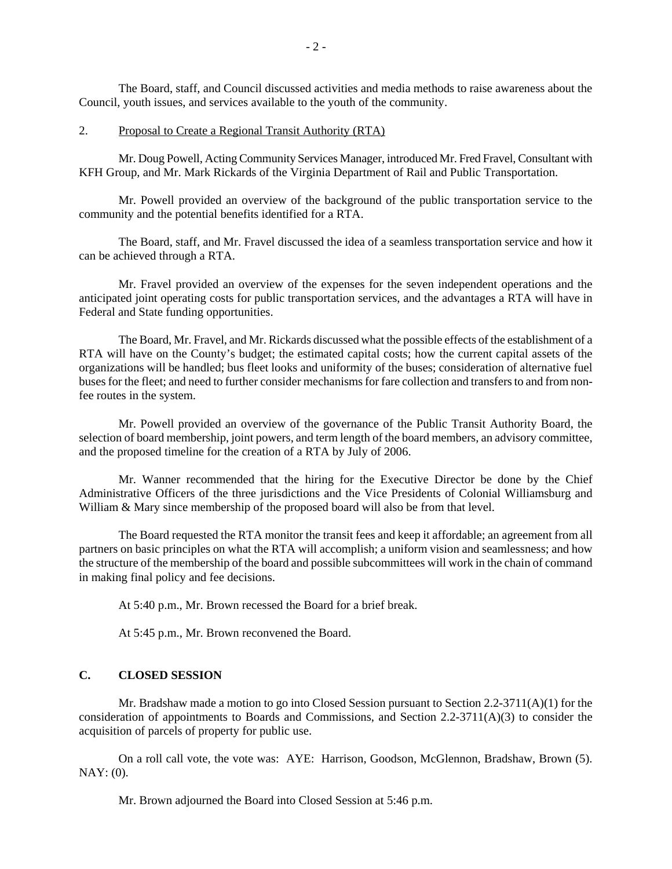The Board, staff, and Council discussed activities and media methods to raise awareness about the Council, youth issues, and services available to the youth of the community.

#### 2. Proposal to Create a Regional Transit Authority (RTA)

 Mr. Doug Powell, Acting Community Services Manager, introduced Mr. Fred Fravel, Consultant with KFH Group, and Mr. Mark Rickards of the Virginia Department of Rail and Public Transportation.

 Mr. Powell provided an overview of the background of the public transportation service to the community and the potential benefits identified for a RTA.

 The Board, staff, and Mr. Fravel discussed the idea of a seamless transportation service and how it can be achieved through a RTA.

 Mr. Fravel provided an overview of the expenses for the seven independent operations and the anticipated joint operating costs for public transportation services, and the advantages a RTA will have in Federal and State funding opportunities.

 The Board, Mr. Fravel, and Mr. Rickards discussed what the possible effects of the establishment of a RTA will have on the County's budget; the estimated capital costs; how the current capital assets of the organizations will be handled; bus fleet looks and uniformity of the buses; consideration of alternative fuel buses for the fleet; and need to further consider mechanisms for fare collection and transfers to and from nonfee routes in the system.

 Mr. Powell provided an overview of the governance of the Public Transit Authority Board, the selection of board membership, joint powers, and term length of the board members, an advisory committee, and the proposed timeline for the creation of a RTA by July of 2006.

 Mr. Wanner recommended that the hiring for the Executive Director be done by the Chief Administrative Officers of the three jurisdictions and the Vice Presidents of Colonial Williamsburg and William & Mary since membership of the proposed board will also be from that level.

 The Board requested the RTA monitor the transit fees and keep it affordable; an agreement from all partners on basic principles on what the RTA will accomplish; a uniform vision and seamlessness; and how the structure of the membership of the board and possible subcommittees will work in the chain of command in making final policy and fee decisions.

At 5:40 p.m., Mr. Brown recessed the Board for a brief break.

At 5:45 p.m., Mr. Brown reconvened the Board.

#### **C. CLOSED SESSION**

 Mr. Bradshaw made a motion to go into Closed Session pursuant to Section 2.2-3711(A)(1) for the consideration of appointments to Boards and Commissions, and Section 2.2-3711(A)(3) to consider the acquisition of parcels of property for public use.

 On a roll call vote, the vote was: AYE: Harrison, Goodson, McGlennon, Bradshaw, Brown (5). NAY: (0).

Mr. Brown adjourned the Board into Closed Session at 5:46 p.m.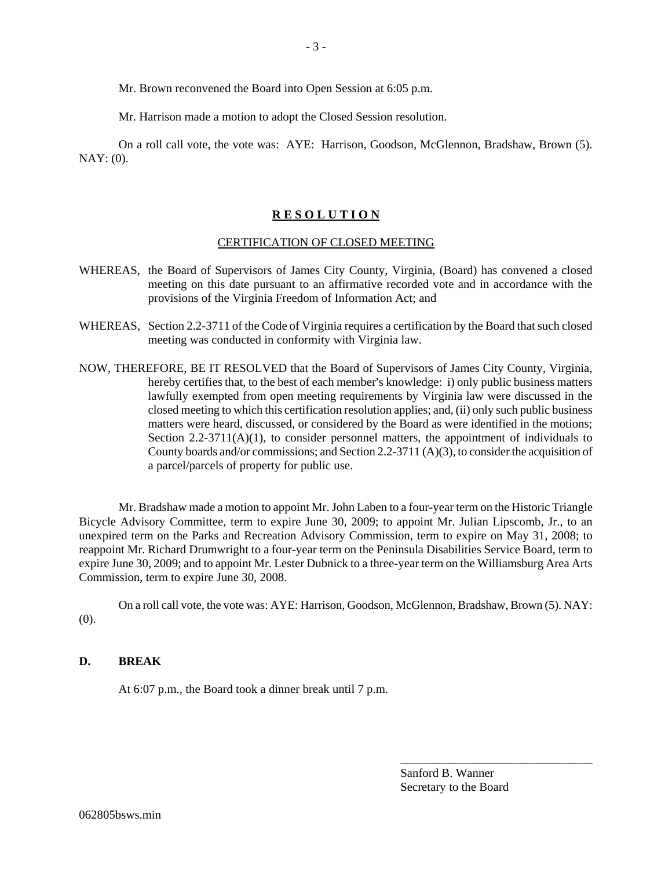Mr. Brown reconvened the Board into Open Session at 6:05 p.m.

Mr. Harrison made a motion to adopt the Closed Session resolution.

 On a roll call vote, the vote was: AYE: Harrison, Goodson, McGlennon, Bradshaw, Brown (5). NAY: (0).

#### **R E S O L U T I O N**

#### CERTIFICATION OF CLOSED MEETING

- WHEREAS, the Board of Supervisors of James City County, Virginia, (Board) has convened a closed meeting on this date pursuant to an affirmative recorded vote and in accordance with the provisions of the Virginia Freedom of Information Act; and
- WHEREAS, Section 2.2-3711 of the Code of Virginia requires a certification by the Board that such closed meeting was conducted in conformity with Virginia law.
- NOW, THEREFORE, BE IT RESOLVED that the Board of Supervisors of James City County, Virginia, hereby certifies that, to the best of each member's knowledge: i) only public business matters lawfully exempted from open meeting requirements by Virginia law were discussed in the closed meeting to which this certification resolution applies; and, (ii) only such public business matters were heard, discussed, or considered by the Board as were identified in the motions; Section  $2.2-3711(A)(1)$ , to consider personnel matters, the appointment of individuals to County boards and/or commissions; and Section 2.2-3711 (A)(3), to consider the acquisition of a parcel/parcels of property for public use.

 Mr. Bradshaw made a motion to appoint Mr. John Laben to a four-year term on the Historic Triangle Bicycle Advisory Committee, term to expire June 30, 2009; to appoint Mr. Julian Lipscomb, Jr., to an unexpired term on the Parks and Recreation Advisory Commission, term to expire on May 31, 2008; to reappoint Mr. Richard Drumwright to a four-year term on the Peninsula Disabilities Service Board, term to expire June 30, 2009; and to appoint Mr. Lester Dubnick to a three-year term on the Williamsburg Area Arts Commission, term to expire June 30, 2008.

 On a roll call vote, the vote was: AYE: Harrison, Goodson, McGlennon, Bradshaw, Brown (5). NAY: (0).

#### **D. BREAK**

At 6:07 p.m., the Board took a dinner break until 7 p.m.

Sanford B. Wanner Secretary to the Board

\_\_\_\_\_\_\_\_\_\_\_\_\_\_\_\_\_\_\_\_\_\_\_\_\_\_\_\_\_\_\_\_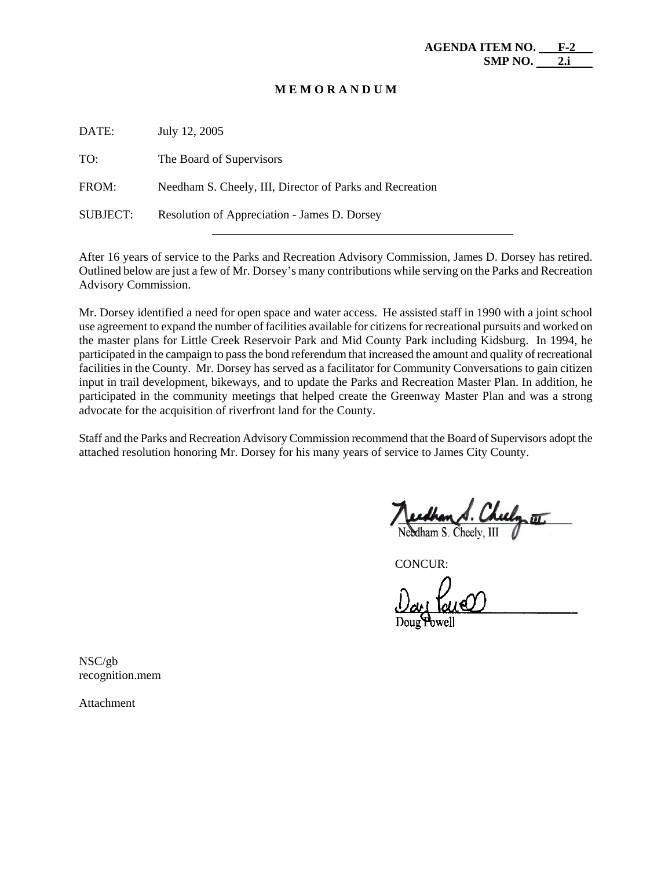#### **M E M O R A N D U M**

| DATE:           | July 12, 2005                                            |
|-----------------|----------------------------------------------------------|
| TO:             | The Board of Supervisors                                 |
| FROM:           | Needham S. Cheely, III, Director of Parks and Recreation |
| <b>SUBJECT:</b> | Resolution of Appreciation - James D. Dorsey             |

After 16 years of service to the Parks and Recreation Advisory Commission, James D. Dorsey has retired. Outlined below are just a few of Mr. Dorsey's many contributions while serving on the Parks and Recreation Advisory Commission.

Mr. Dorsey identified a need for open space and water access. He assisted staff in 1990 with a joint school use agreement to expand the number of facilities available for citizens for recreational pursuits and worked on the master plans for Little Creek Reservoir Park and Mid County Park including Kidsburg. In 1994, he participated in the campaign to pass the bond referendum that increased the amount and quality of recreational facilities in the County. Mr. Dorsey has served as a facilitator for Community Conversations to gain citizen input in trail development, bikeways, and to update the Parks and Recreation Master Plan. In addition, he participated in the community meetings that helped create the Greenway Master Plan and was a strong advocate for the acquisition of riverfront land for the County.

Staff and the Parks and Recreation Advisory Commission recommend that the Board of Supervisors adopt the attached resolution honoring Mr. Dorsey for his many years of service to James City County.

CONCUR:

NSC/gb recognition.mem

Attachment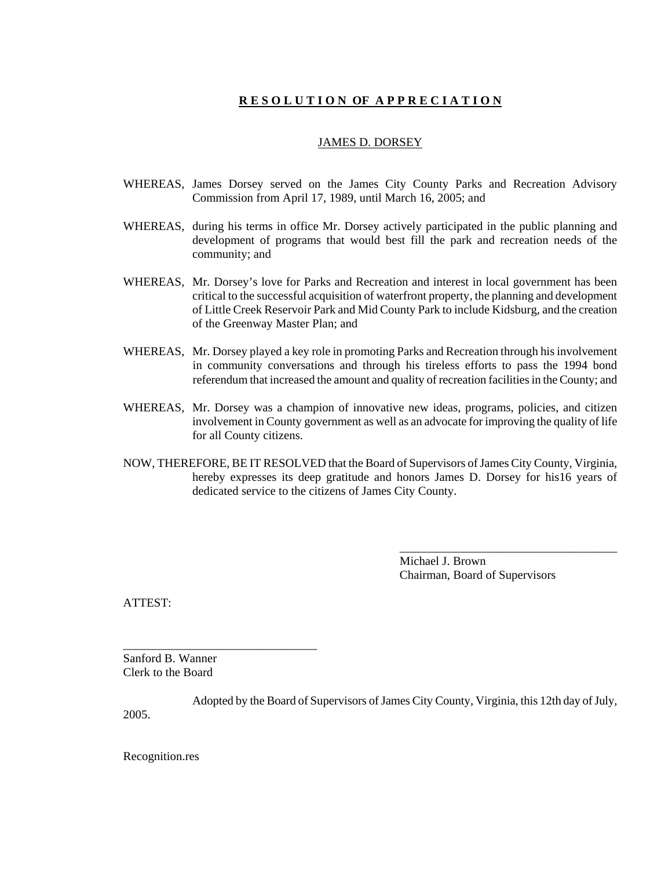# **R E S O L U T I O N OF A P P R E C I A T I O N**

#### JAMES D. DORSEY

- WHEREAS, James Dorsey served on the James City County Parks and Recreation Advisory Commission from April 17, 1989, until March 16, 2005; and
- WHEREAS, during his terms in office Mr. Dorsey actively participated in the public planning and development of programs that would best fill the park and recreation needs of the community; and
- WHEREAS, Mr. Dorsey's love for Parks and Recreation and interest in local government has been critical to the successful acquisition of waterfront property, the planning and development of Little Creek Reservoir Park and Mid County Park to include Kidsburg, and the creation of the Greenway Master Plan; and
- WHEREAS, Mr. Dorsey played a key role in promoting Parks and Recreation through his involvement in community conversations and through his tireless efforts to pass the 1994 bond referendum that increased the amount and quality of recreation facilities in the County; and
- WHEREAS, Mr. Dorsey was a champion of innovative new ideas, programs, policies, and citizen involvement in County government as well as an advocate for improving the quality of life for all County citizens.
- NOW, THEREFORE, BE IT RESOLVED that the Board of Supervisors of James City County, Virginia, hereby expresses its deep gratitude and honors James D. Dorsey for his16 years of dedicated service to the citizens of James City County.

Michael J. Brown Chairman, Board of Supervisors

\_\_\_\_\_\_\_\_\_\_\_\_\_\_\_\_\_\_\_\_\_\_\_\_\_\_\_\_\_\_\_\_\_\_\_\_

ATTEST:

Sanford B. Wanner Clerk to the Board

\_\_\_\_\_\_\_\_\_\_\_\_\_\_\_\_\_\_\_\_\_\_\_\_\_\_\_\_\_\_\_\_

Adopted by the Board of Supervisors of James City County, Virginia, this 12th day of July, 2005.

Recognition.res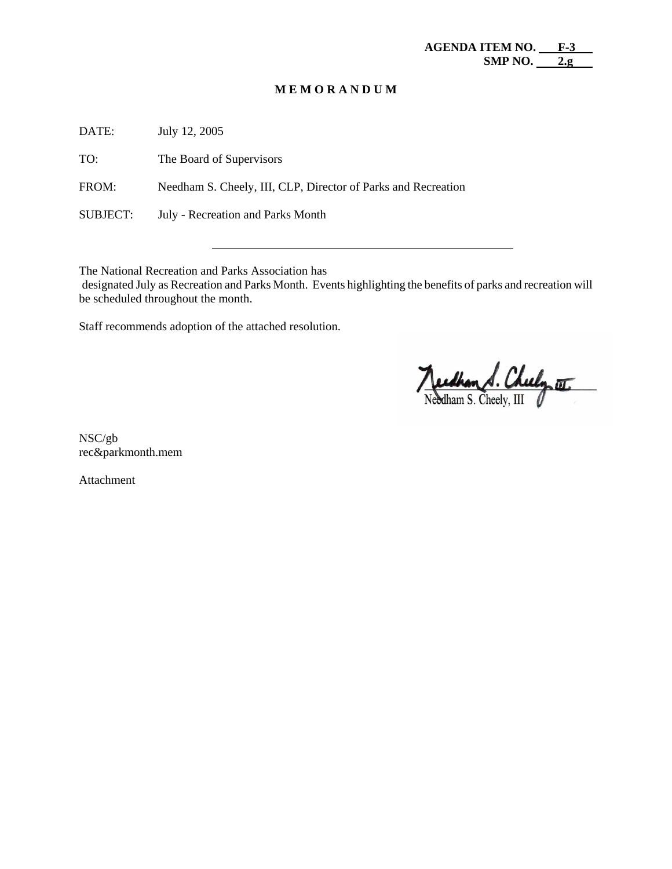#### **M E M O R A N D U M**

DATE: July 12, 2005

TO: The Board of Supervisors

FROM: Needham S. Cheely, III, CLP, Director of Parks and Recreation

SUBJECT: July - Recreation and Parks Month

The National Recreation and Parks Association has

 designated July as Recreation and Parks Month. Events highlighting the benefits of parks and recreation will be scheduled throughout the month.

Staff recommends adoption of the attached resolution.

Needhan A. Cheely or

NSC/gb rec&parkmonth.mem

Attachment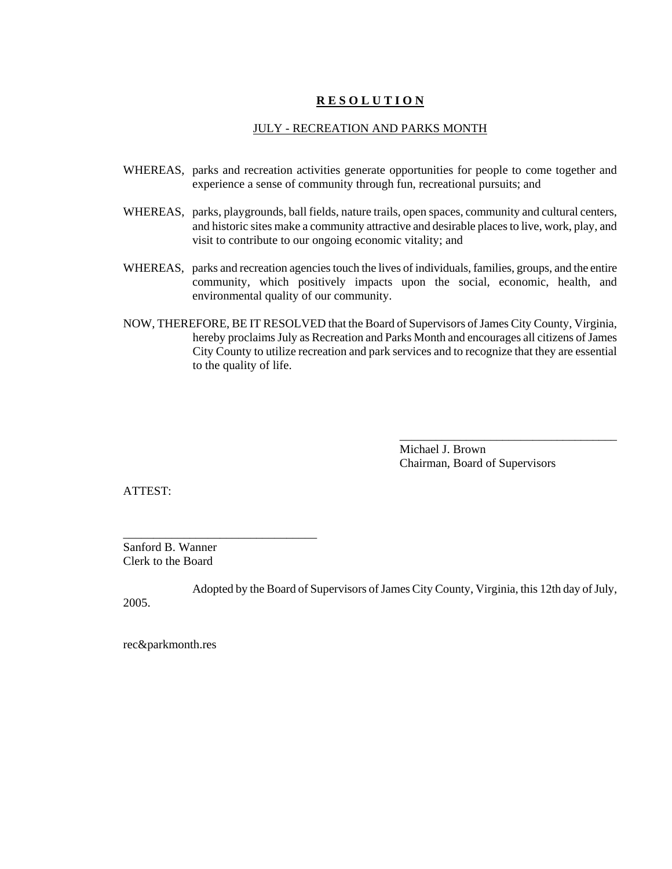# **R E S O L U T I O N**

#### JULY - RECREATION AND PARKS MONTH

- WHEREAS, parks and recreation activities generate opportunities for people to come together and experience a sense of community through fun, recreational pursuits; and
- WHEREAS, parks, playgrounds, ball fields, nature trails, open spaces, community and cultural centers, and historic sites make a community attractive and desirable places to live, work, play, and visit to contribute to our ongoing economic vitality; and
- WHEREAS, parks and recreation agencies touch the lives of individuals, families, groups, and the entire community, which positively impacts upon the social, economic, health, and environmental quality of our community.
- NOW, THEREFORE, BE IT RESOLVED that the Board of Supervisors of James City County, Virginia, hereby proclaims July as Recreation and Parks Month and encourages all citizens of James City County to utilize recreation and park services and to recognize that they are essential to the quality of life.

Michael J. Brown Chairman, Board of Supervisors

\_\_\_\_\_\_\_\_\_\_\_\_\_\_\_\_\_\_\_\_\_\_\_\_\_\_\_\_\_\_\_\_\_\_\_\_

ATTEST:

Sanford B. Wanner Clerk to the Board

\_\_\_\_\_\_\_\_\_\_\_\_\_\_\_\_\_\_\_\_\_\_\_\_\_\_\_\_\_\_\_\_

Adopted by the Board of Supervisors of James City County, Virginia, this 12th day of July, 2005.

rec&parkmonth.res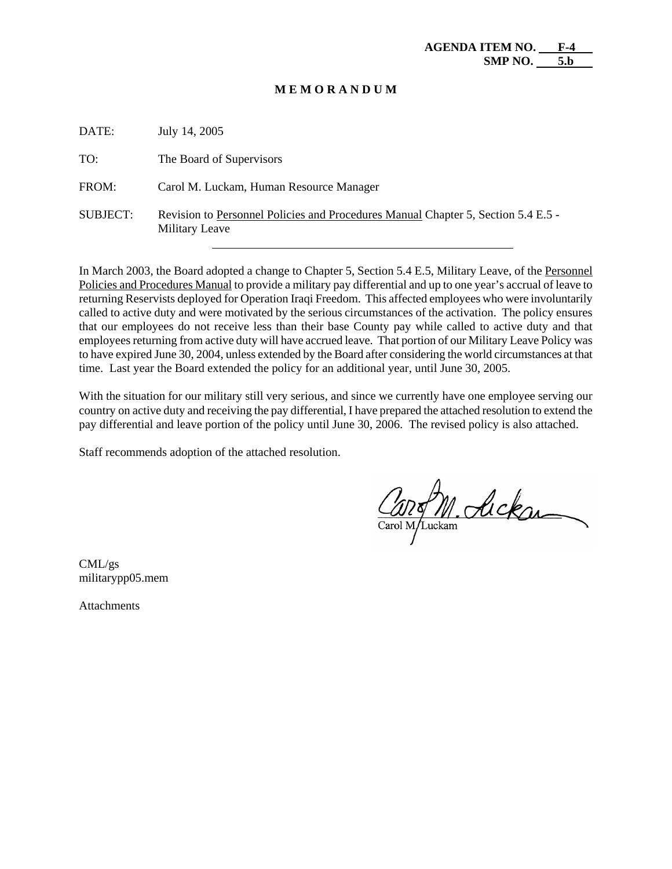#### **M E M O R A N D U M**

| DATE:    | July 14, 2005                                                                                              |
|----------|------------------------------------------------------------------------------------------------------------|
| TO:      | The Board of Supervisors                                                                                   |
| FROM:    | Carol M. Luckam, Human Resource Manager                                                                    |
| SUBJECT: | Revision to Personnel Policies and Procedures Manual Chapter 5, Section 5.4 E.5 -<br><b>Military Leave</b> |

In March 2003, the Board adopted a change to Chapter 5, Section 5.4 E.5, Military Leave, of the Personnel Policies and Procedures Manual to provide a military pay differential and up to one year's accrual of leave to returning Reservists deployed for Operation Iraqi Freedom. This affected employees who were involuntarily called to active duty and were motivated by the serious circumstances of the activation. The policy ensures that our employees do not receive less than their base County pay while called to active duty and that employees returning from active duty will have accrued leave. That portion of our Military Leave Policy was to have expired June 30, 2004, unless extended by the Board after considering the world circumstances at that time. Last year the Board extended the policy for an additional year, until June 30, 2005.

With the situation for our military still very serious, and since we currently have one employee serving our country on active duty and receiving the pay differential, I have prepared the attached resolution to extend the pay differential and leave portion of the policy until June 30, 2006. The revised policy is also attached.

Staff recommends adoption of the attached resolution.

125 M. Ackan

CML/gs militarypp05.mem

**Attachments**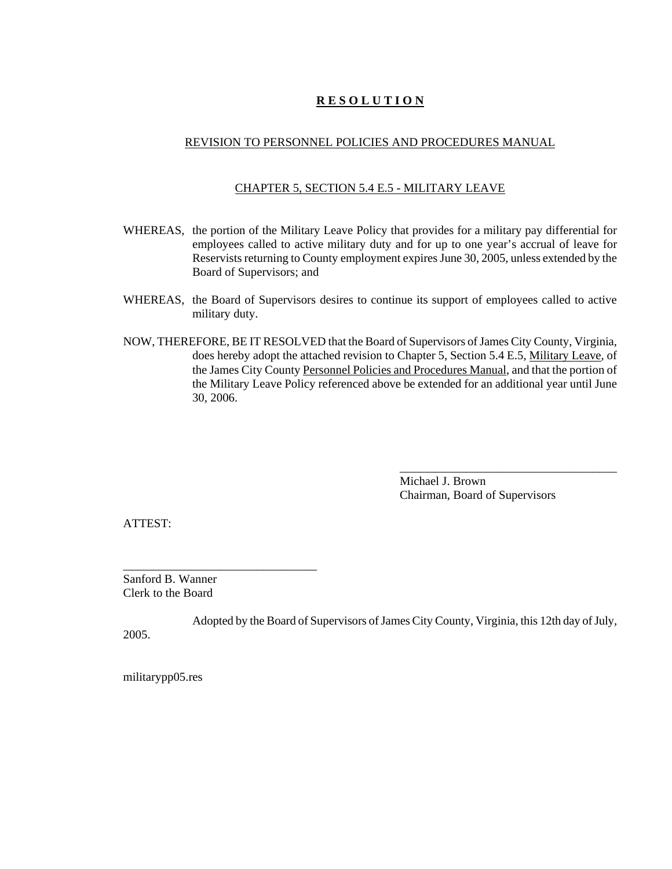# **R E S O L U T I O N**

#### REVISION TO PERSONNEL POLICIES AND PROCEDURES MANUAL

#### CHAPTER 5, SECTION 5.4 E.5 - MILITARY LEAVE

- WHEREAS, the portion of the Military Leave Policy that provides for a military pay differential for employees called to active military duty and for up to one year's accrual of leave for Reservists returning to County employment expires June 30, 2005, unless extended by the Board of Supervisors; and
- WHEREAS, the Board of Supervisors desires to continue its support of employees called to active military duty.
- NOW, THEREFORE, BE IT RESOLVED that the Board of Supervisors of James City County, Virginia, does hereby adopt the attached revision to Chapter 5, Section 5.4 E.5, Military Leave, of the James City County Personnel Policies and Procedures Manual, and that the portion of the Military Leave Policy referenced above be extended for an additional year until June 30, 2006.

Michael J. Brown Chairman, Board of Supervisors

\_\_\_\_\_\_\_\_\_\_\_\_\_\_\_\_\_\_\_\_\_\_\_\_\_\_\_\_\_\_\_\_\_\_\_\_

ATTEST:

Sanford B. Wanner Clerk to the Board

\_\_\_\_\_\_\_\_\_\_\_\_\_\_\_\_\_\_\_\_\_\_\_\_\_\_\_\_\_\_\_\_

Adopted by the Board of Supervisors of James City County, Virginia, this 12th day of July, 2005.

militarypp05.res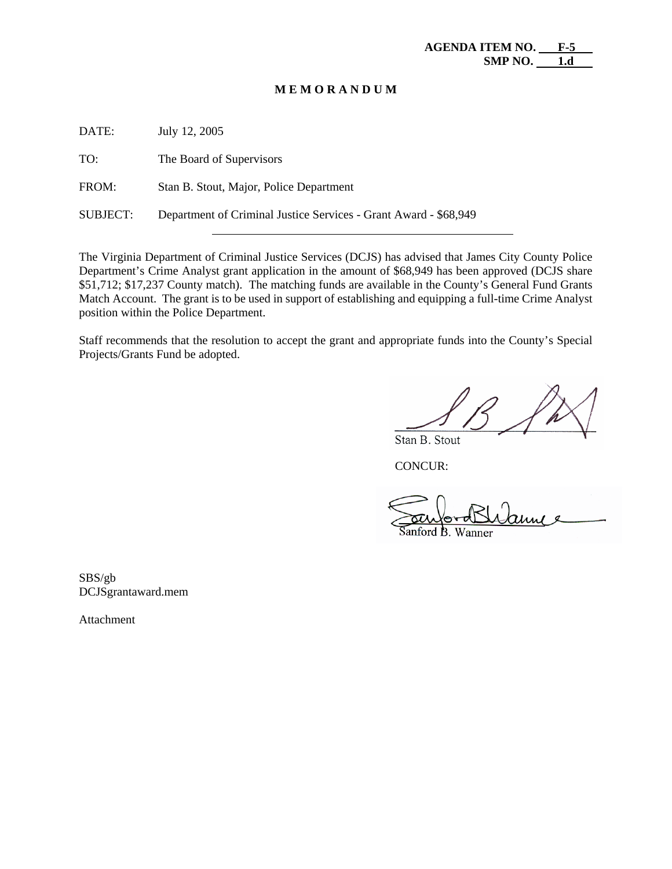#### **M E M O R A N D U M**

| DATE:           | July 12, 2005                                                    |
|-----------------|------------------------------------------------------------------|
| TO:             | The Board of Supervisors                                         |
| FROM:           | Stan B. Stout, Major, Police Department                          |
| <b>SUBJECT:</b> | Department of Criminal Justice Services - Grant Award - \$68,949 |
|                 |                                                                  |

The Virginia Department of Criminal Justice Services (DCJS) has advised that James City County Police Department's Crime Analyst grant application in the amount of \$68,949 has been approved (DCJS share \$51,712; \$17,237 County match). The matching funds are available in the County's General Fund Grants Match Account. The grant is to be used in support of establishing and equipping a full-time Crime Analyst position within the Police Department.

Staff recommends that the resolution to accept the grant and appropriate funds into the County's Special Projects/Grants Fund be adopted.

Stan B. Stout

CONCUR:

unford B. Wanner

SBS/gb DCJSgrantaward.mem

Attachment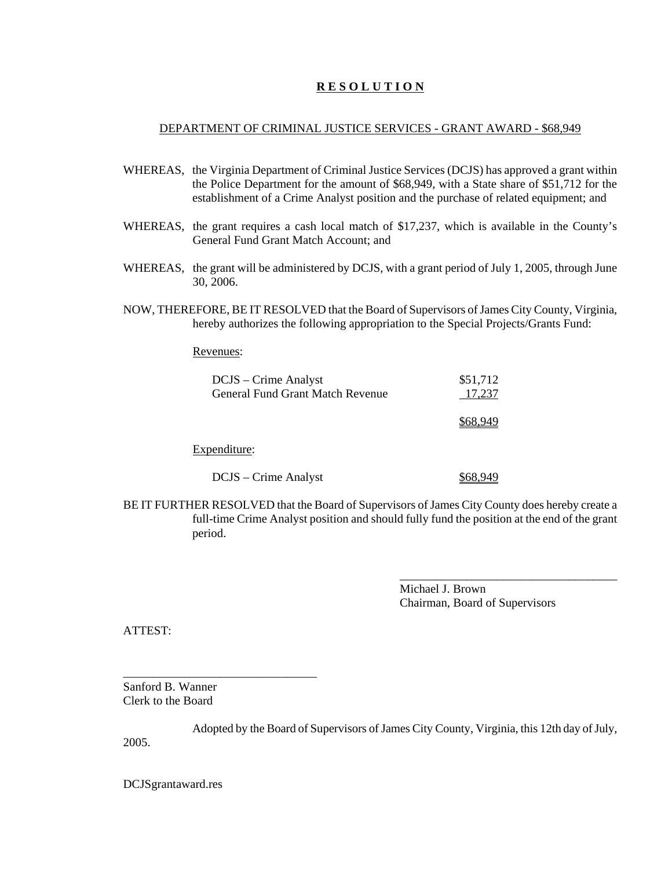# **R E S O L U T I O N**

#### DEPARTMENT OF CRIMINAL JUSTICE SERVICES - GRANT AWARD - \$68,949

- WHEREAS, the Virginia Department of Criminal Justice Services (DCJS) has approved a grant within the Police Department for the amount of \$68,949, with a State share of \$51,712 for the establishment of a Crime Analyst position and the purchase of related equipment; and
- WHEREAS, the grant requires a cash local match of \$17,237, which is available in the County's General Fund Grant Match Account; and
- WHEREAS, the grant will be administered by DCJS, with a grant period of July 1, 2005, through June 30, 2006.
- NOW, THEREFORE, BE IT RESOLVED that the Board of Supervisors of James City County, Virginia, hereby authorizes the following appropriation to the Special Projects/Grants Fund:

Revenues:

| DCJS – Crime Analyst<br><b>General Fund Grant Match Revenue</b> | \$51,712<br>17,237 |
|-----------------------------------------------------------------|--------------------|
|                                                                 |                    |
| Expenditure:                                                    |                    |
| DCJS – Crime Analyst                                            |                    |

BE IT FURTHER RESOLVED that the Board of Supervisors of James City County does hereby create a full-time Crime Analyst position and should fully fund the position at the end of the grant period.

> Michael J. Brown Chairman, Board of Supervisors

\_\_\_\_\_\_\_\_\_\_\_\_\_\_\_\_\_\_\_\_\_\_\_\_\_\_\_\_\_\_\_\_\_\_\_\_

ATTEST:

\_\_\_\_\_\_\_\_\_\_\_\_\_\_\_\_\_\_\_\_\_\_\_\_\_\_\_\_\_\_\_\_ Sanford B. Wanner Clerk to the Board

Adopted by the Board of Supervisors of James City County, Virginia, this 12th day of July, 2005.

DCJSgrantaward.res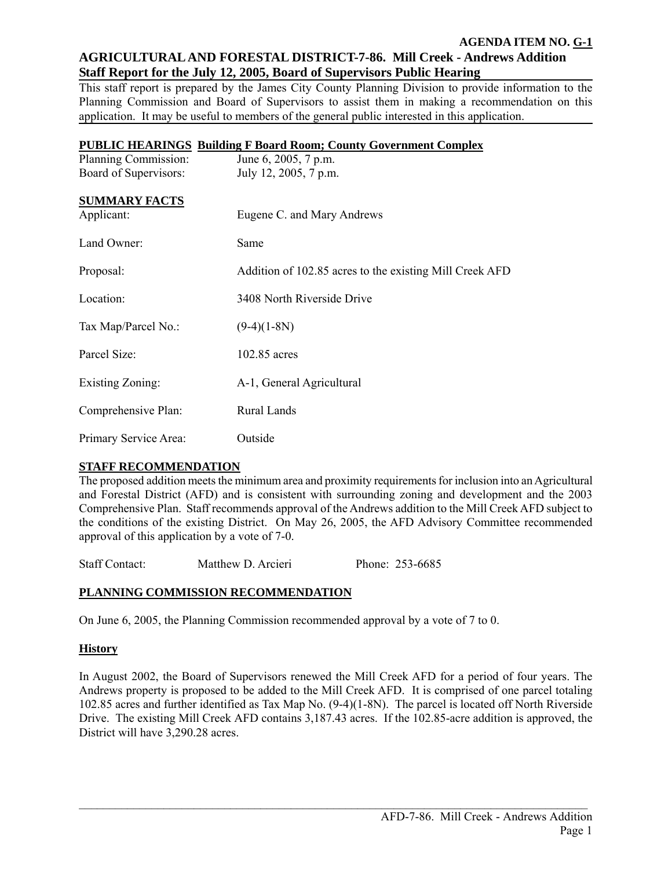# **AGRICULTURAL AND FORESTAL DISTRICT-7-86. Mill Creek - Andrews Addition Staff Report for the July 12, 2005, Board of Supervisors Public Hearing**

This staff report is prepared by the James City County Planning Division to provide information to the Planning Commission and Board of Supervisors to assist them in making a recommendation on this application. It may be useful to members of the general public interested in this application.

|                       | <b>PUBLIC HEARINGS Building F Board Room; County Government Complex</b> |
|-----------------------|-------------------------------------------------------------------------|
| Planning Commission:  | June 6, 2005, 7 p.m.                                                    |
| Board of Supervisors: | July 12, 2005, 7 p.m.                                                   |
| <b>SUMMARY FACTS</b>  |                                                                         |
| Applicant:            | Eugene C. and Mary Andrews                                              |
|                       |                                                                         |
| Land Owner:           | Same                                                                    |
| Proposal:             | Addition of 102.85 acres to the existing Mill Creek AFD                 |
|                       |                                                                         |
| Location:             | 3408 North Riverside Drive                                              |
| Tax Map/Parcel No.:   | $(9-4)(1-8N)$                                                           |
|                       |                                                                         |
| Parcel Size:          | 102.85 acres                                                            |
| Existing Zoning:      | A-1, General Agricultural                                               |
|                       |                                                                         |
| Comprehensive Plan:   | Rural Lands                                                             |
| Primary Service Area: | Outside                                                                 |

# **STAFF RECOMMENDATION**

The proposed addition meets the minimum area and proximity requirements for inclusion into an Agricultural and Forestal District (AFD) and is consistent with surrounding zoning and development and the 2003 Comprehensive Plan. Staff recommends approval of the Andrews addition to the Mill Creek AFD subject to the conditions of the existing District. On May 26, 2005, the AFD Advisory Committee recommended approval of this application by a vote of 7-0.

Staff Contact: Matthew D. Arcieri Phone: 253-6685

# **PLANNING COMMISSION RECOMMENDATION**

On June 6, 2005, the Planning Commission recommended approval by a vote of 7 to 0.

#### **History**

In August 2002, the Board of Supervisors renewed the Mill Creek AFD for a period of four years. The Andrews property is proposed to be added to the Mill Creek AFD. It is comprised of one parcel totaling 102.85 acres and further identified as Tax Map No. (9-4)(1-8N). The parcel is located off North Riverside Drive. The existing Mill Creek AFD contains 3,187.43 acres. If the 102.85-acre addition is approved, the District will have 3,290.28 acres.

 $\mathcal{L}_\mathcal{L} = \{ \mathcal{L}_\mathcal{L} = \{ \mathcal{L}_\mathcal{L} = \{ \mathcal{L}_\mathcal{L} = \{ \mathcal{L}_\mathcal{L} = \{ \mathcal{L}_\mathcal{L} = \{ \mathcal{L}_\mathcal{L} = \{ \mathcal{L}_\mathcal{L} = \{ \mathcal{L}_\mathcal{L} = \{ \mathcal{L}_\mathcal{L} = \{ \mathcal{L}_\mathcal{L} = \{ \mathcal{L}_\mathcal{L} = \{ \mathcal{L}_\mathcal{L} = \{ \mathcal{L}_\mathcal{L} = \{ \mathcal{L}_\mathcal{$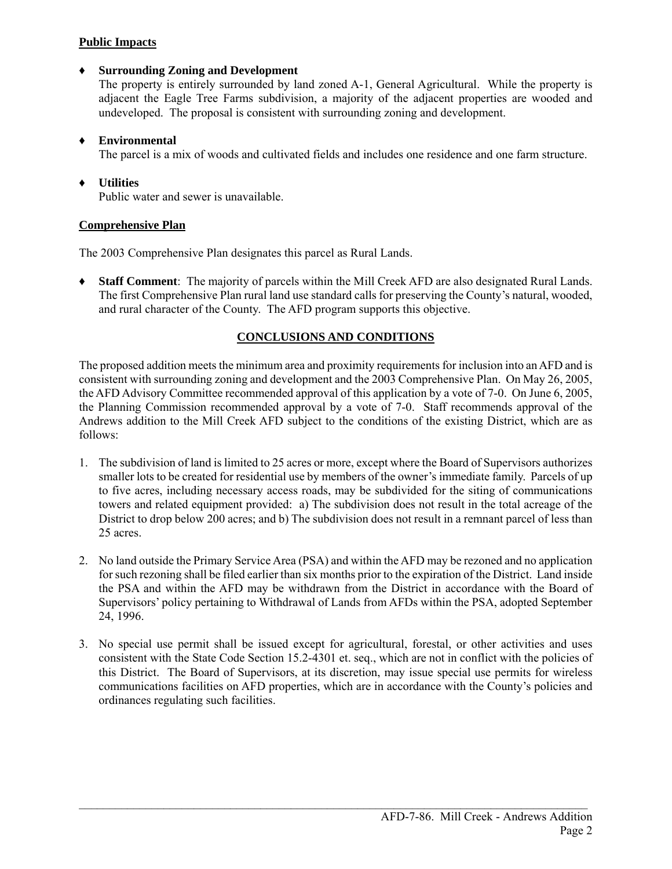# **Public Impacts**

# ♦ **Surrounding Zoning and Development**

The property is entirely surrounded by land zoned A-1, General Agricultural. While the property is adjacent the Eagle Tree Farms subdivision, a majority of the adjacent properties are wooded and undeveloped. The proposal is consistent with surrounding zoning and development.

# ♦ **Environmental**

The parcel is a mix of woods and cultivated fields and includes one residence and one farm structure.

# ♦ **Utilities**

Public water and sewer is unavailable.

# **Comprehensive Plan**

The 2003 Comprehensive Plan designates this parcel as Rural Lands.

**Staff Comment**: The majority of parcels within the Mill Creek AFD are also designated Rural Lands. The first Comprehensive Plan rural land use standard calls for preserving the County's natural, wooded, and rural character of the County. The AFD program supports this objective.

# **CONCLUSIONS AND CONDITIONS**

The proposed addition meets the minimum area and proximity requirements for inclusion into an AFD and is consistent with surrounding zoning and development and the 2003 Comprehensive Plan. On May 26, 2005, the AFD Advisory Committee recommended approval of this application by a vote of 7-0. On June 6, 2005, the Planning Commission recommended approval by a vote of 7-0. Staff recommends approval of the Andrews addition to the Mill Creek AFD subject to the conditions of the existing District, which are as follows:

- 1. The subdivision of land is limited to 25 acres or more, except where the Board of Supervisors authorizes smaller lots to be created for residential use by members of the owner's immediate family. Parcels of up to five acres, including necessary access roads, may be subdivided for the siting of communications towers and related equipment provided: a) The subdivision does not result in the total acreage of the District to drop below 200 acres; and b) The subdivision does not result in a remnant parcel of less than 25 acres.
- 2. No land outside the Primary Service Area (PSA) and within the AFD may be rezoned and no application for such rezoning shall be filed earlier than six months prior to the expiration of the District. Land inside the PSA and within the AFD may be withdrawn from the District in accordance with the Board of Supervisors' policy pertaining to Withdrawal of Lands from AFDs within the PSA, adopted September 24, 1996.
- 3. No special use permit shall be issued except for agricultural, forestal, or other activities and uses consistent with the State Code Section 15.2-4301 et. seq., which are not in conflict with the policies of this District. The Board of Supervisors, at its discretion, may issue special use permits for wireless communications facilities on AFD properties, which are in accordance with the County's policies and ordinances regulating such facilities.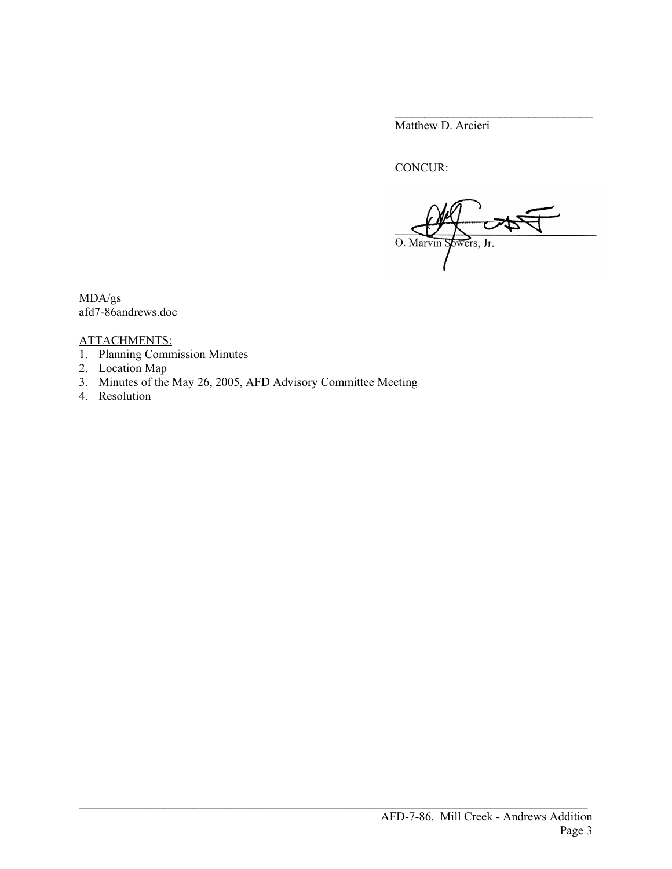Matthew D. Arcieri

CONCUR:

O. Marvin yowers, Jr.

\_\_\_\_\_\_\_\_\_\_\_\_\_\_\_\_\_\_\_\_\_\_\_\_\_\_\_\_\_\_\_\_\_\_

MDA/gs afd7-86andrews.doc

# ATTACHMENTS:

- 1. Planning Commission Minutes
- 2. Location Map
- 3. Minutes of the May 26, 2005, AFD Advisory Committee Meeting
- 4. Resolution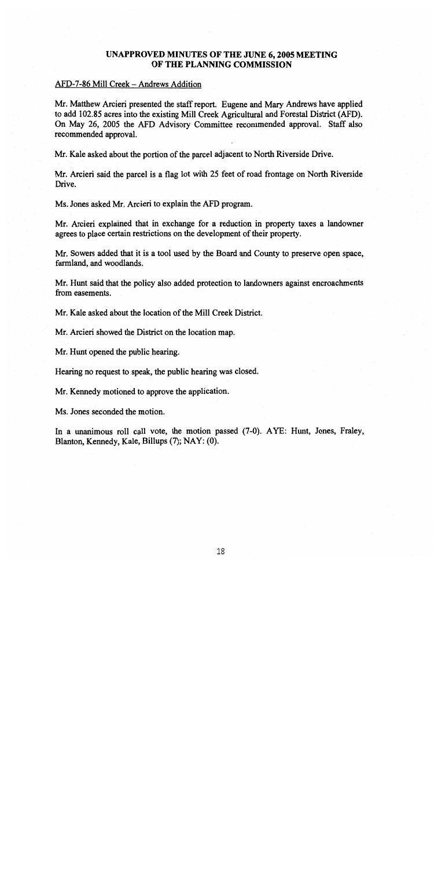# UNAPPROVED MINUTES OF THE JUNE 6, 2005 MEETING OF THE PLANNING COMMISSION

#### AFD-7-86 Mill Creek - Andrews Addition

Mr. Matthew Arcieri presented the staff report. Eugene and Mary Andrews have applied to add 102.85 acres into the existing Mill Creek Agricultural and Forestal District (AFD). On May 26, 2005 the AFD Advisory Committee recommended approval. Staff also recommended approval.

Mr. Kale asked about the portion of the parcel adjacent to North Riverside Drive.

Mr. Arcieri said the parcel is a flag lot with 25 feet of road frontage on North Riverside Drive.

Ms. Jones asked Mr. Arcieri to explain the AFD program.

Mr. Arcieri explained that in exchange for a reduction in property taxes a landowner agrees to place certain restrictions on the development of their property.

Mr. Sowers added that it is a tool used by the Board and County to preserve open space, farmland, and woodlands.

Mr. Hunt said that the policy also added protection to landowners against encroachments from easements.

Mr. Kale asked about the location of the Mill Creek District.

Mr. Arcieri showed the District on the location map.

Mr. Hunt opened the public hearing.

Hearing no request to speak, the public hearing was closed.

Mr. Kennedy motioned to approve the application.

Ms. Jones seconded the motion.

In a unanimous roll call vote, the motion passed (7-0). AYE: Hunt, Jones, Fraley, Blanton, Kennedy, Kale, Billups (7); NAY: (0).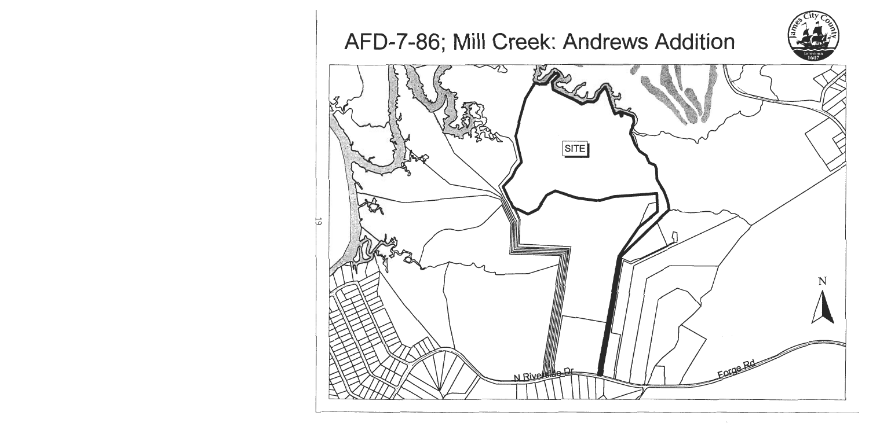AFD-7-86; Mill Creek: Andrews Addition

53



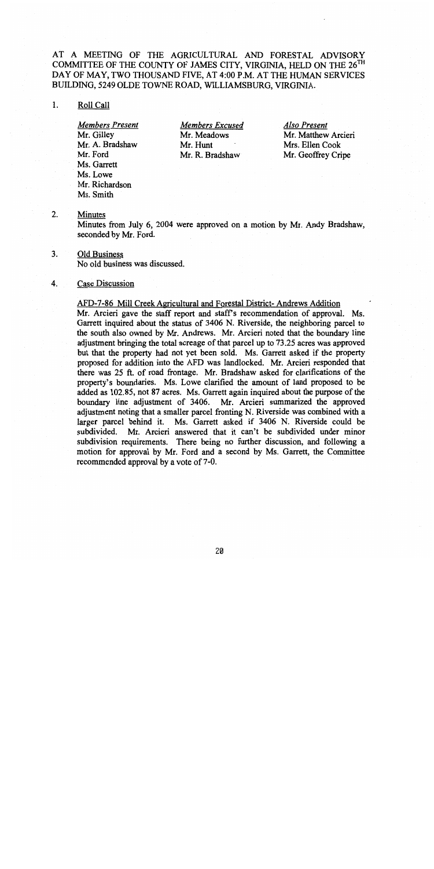# AT A MEETING OF THE AGRICULTURAL AND FORESTAL ADVISORY COMMITTEE OF THE COUNTY OF JAMES CITY, VIRGINIA, HELD ON THE 26<sup>TH</sup> DAY OF MAY, TWO THOUSAND FIVE, AT 4:00 P.M. AT THE HUMAN SERVICES BUILDING, 5249 OLDE TOWNE ROAD, WILLIAMSBURG, VIRGINIA.

#### 1. Roll Call

**Members Present** Mr. Gilley Mr. A. Bradshaw Mr. Ford Ms. Garrett Ms. Lowe Mr. Richardson Ms. Smith

**Members Excused** Mr. Meadows Mr. Hunt Mr. R. Bradshaw

Also Present Mr. Matthew Arcieri Mrs. Ellen Cook Mr. Geoffrey Cripe

#### $2.$ **Minutes**

Minutes from July 6, 2004 were approved on a motion by Mr. Andy Bradshaw, seconded by Mr. Ford.

 $3<sub>1</sub>$ **Old Business** 

No old business was discussed.

#### Case Discussion 4.

# AFD-7-86 Mill Creek Agricultural and Forestal District- Andrews Addition

Mr. Arcieri gave the staff report and staff's recommendation of approval. Ms. Garrett inquired about the status of 3406 N. Riverside, the neighboring parcel to the south also owned by Mr. Andrews. Mr. Arcieri noted that the boundary line adjustment bringing the total acreage of that parcel up to 73.25 acres was approved but that the property had not yet been sold. Ms. Garrett asked if the property proposed for addition into the AFD was landlocked. Mr. Arcieri responded that there was 25 ft. of road frontage. Mr. Bradshaw asked for clarifications of the property's boundaries. Ms. Lowe clarified the amount of land proposed to be added as 102.85, not 87 acres. Ms. Garrett again inquired about the purpose of the boundary line adjustment of 3406. Mr. Arcieri summarized the approved adjustment noting that a smaller parcel fronting N. Riverside was combined with a larger parcel behind it. Ms. Garrett asked if 3406 N. Riverside could be Mr. Arcieri answered that it can't be subdivided under minor subdivided. subdivision requirements. There being no further discussion, and following a motion for approval by Mr. Ford and a second by Ms. Garrett, the Committee recommended approval by a vote of 7-0.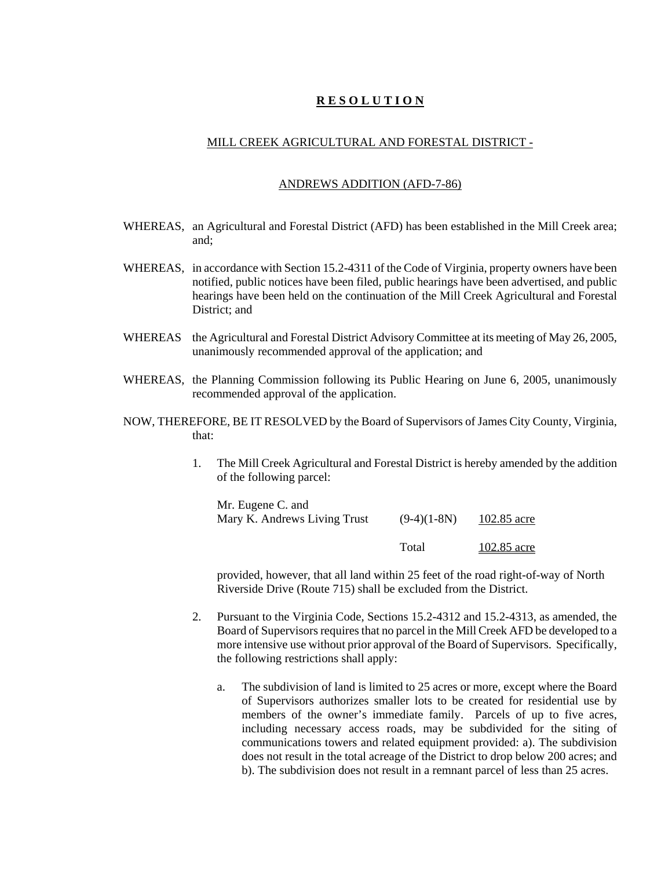# **R E S O L U T I O N**

#### MILL CREEK AGRICULTURAL AND FORESTAL DISTRICT -

#### ANDREWS ADDITION (AFD-7-86)

- WHEREAS, an Agricultural and Forestal District (AFD) has been established in the Mill Creek area; and;
- WHEREAS, in accordance with Section 15.2-4311 of the Code of Virginia, property owners have been notified, public notices have been filed, public hearings have been advertised, and public hearings have been held on the continuation of the Mill Creek Agricultural and Forestal District; and
- WHEREAS the Agricultural and Forestal District Advisory Committee at its meeting of May 26, 2005, unanimously recommended approval of the application; and
- WHEREAS, the Planning Commission following its Public Hearing on June 6, 2005, unanimously recommended approval of the application.
- NOW, THEREFORE, BE IT RESOLVED by the Board of Supervisors of James City County, Virginia, that:
	- 1. The Mill Creek Agricultural and Forestal District is hereby amended by the addition of the following parcel:

| Mr. Eugene C. and            |               |             |
|------------------------------|---------------|-------------|
| Mary K. Andrews Living Trust | $(9-4)(1-8N)$ | 102.85 acre |
|                              | Total         | 102.85 acre |

provided, however, that all land within 25 feet of the road right-of-way of North Riverside Drive (Route 715) shall be excluded from the District.

- 2. Pursuant to the Virginia Code, Sections 15.2-4312 and 15.2-4313, as amended, the Board of Supervisors requires that no parcel in the Mill Creek AFD be developed to a more intensive use without prior approval of the Board of Supervisors. Specifically, the following restrictions shall apply:
	- a. The subdivision of land is limited to 25 acres or more, except where the Board of Supervisors authorizes smaller lots to be created for residential use by members of the owner's immediate family. Parcels of up to five acres, including necessary access roads, may be subdivided for the siting of communications towers and related equipment provided: a). The subdivision does not result in the total acreage of the District to drop below 200 acres; and b). The subdivision does not result in a remnant parcel of less than 25 acres.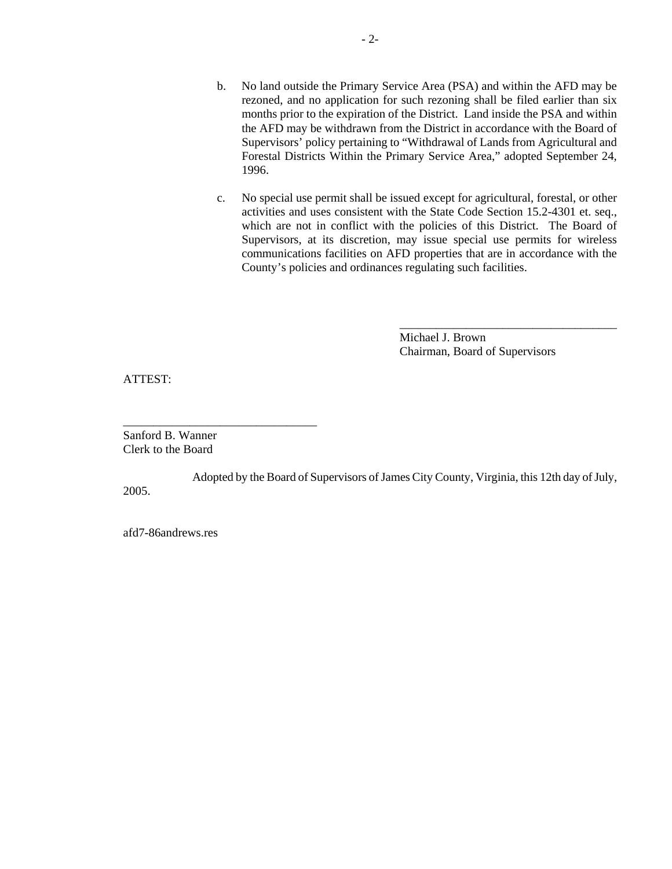- b. No land outside the Primary Service Area (PSA) and within the AFD may be rezoned, and no application for such rezoning shall be filed earlier than six months prior to the expiration of the District. Land inside the PSA and within the AFD may be withdrawn from the District in accordance with the Board of Supervisors' policy pertaining to "Withdrawal of Lands from Agricultural and Forestal Districts Within the Primary Service Area," adopted September 24, 1996.
- c. No special use permit shall be issued except for agricultural, forestal, or other activities and uses consistent with the State Code Section 15.2-4301 et. seq., which are not in conflict with the policies of this District. The Board of Supervisors, at its discretion, may issue special use permits for wireless communications facilities on AFD properties that are in accordance with the County's policies and ordinances regulating such facilities.

Michael J. Brown Chairman, Board of Supervisors

\_\_\_\_\_\_\_\_\_\_\_\_\_\_\_\_\_\_\_\_\_\_\_\_\_\_\_\_\_\_\_\_\_\_\_\_

ATTEST:

Sanford B. Wanner Clerk to the Board

\_\_\_\_\_\_\_\_\_\_\_\_\_\_\_\_\_\_\_\_\_\_\_\_\_\_\_\_\_\_\_\_

Adopted by the Board of Supervisors of James City County, Virginia, this 12th day of July, 2005.

afd7-86andrews.res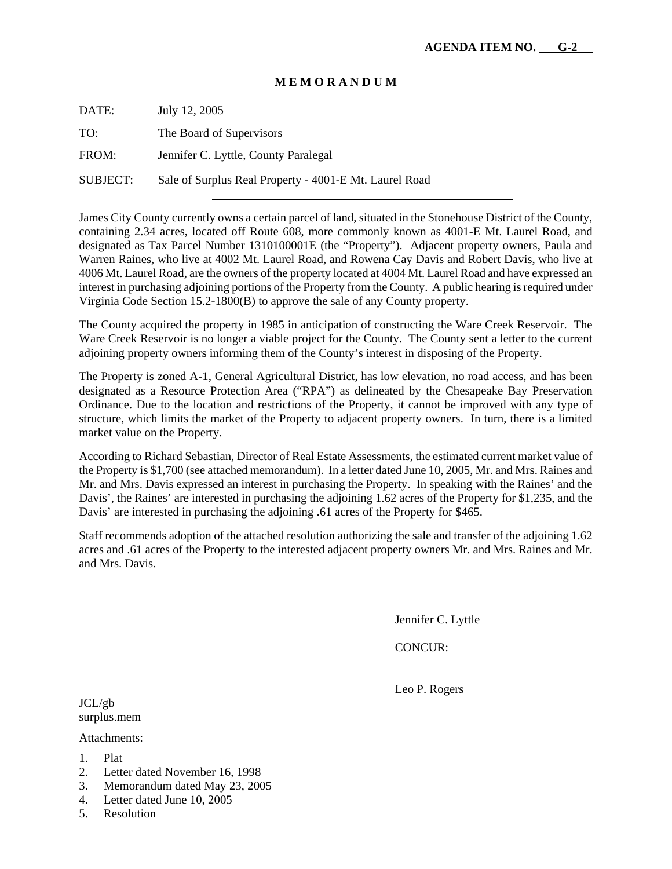#### **M E M O R A N D U M**

DATE: July 12, 2005

TO: The Board of Supervisors

FROM: Jennifer C. Lyttle, County Paralegal

SUBJECT: Sale of Surplus Real Property - 4001-E Mt. Laurel Road

James City County currently owns a certain parcel of land, situated in the Stonehouse District of the County, containing 2.34 acres, located off Route 608, more commonly known as 4001-E Mt. Laurel Road, and designated as Tax Parcel Number 1310100001E (the "Property"). Adjacent property owners, Paula and Warren Raines, who live at 4002 Mt. Laurel Road, and Rowena Cay Davis and Robert Davis, who live at 4006 Mt. Laurel Road, are the owners of the property located at 4004 Mt. Laurel Road and have expressed an interest in purchasing adjoining portions of the Property from the County. A public hearing is required under Virginia Code Section 15.2-1800(B) to approve the sale of any County property.

The County acquired the property in 1985 in anticipation of constructing the Ware Creek Reservoir. The Ware Creek Reservoir is no longer a viable project for the County. The County sent a letter to the current adjoining property owners informing them of the County's interest in disposing of the Property.

The Property is zoned A-1, General Agricultural District, has low elevation, no road access, and has been designated as a Resource Protection Area ("RPA") as delineated by the Chesapeake Bay Preservation Ordinance. Due to the location and restrictions of the Property, it cannot be improved with any type of structure, which limits the market of the Property to adjacent property owners. In turn, there is a limited market value on the Property.

According to Richard Sebastian, Director of Real Estate Assessments, the estimated current market value of the Property is \$1,700 (see attached memorandum). In a letter dated June 10, 2005, Mr. and Mrs. Raines and Mr. and Mrs. Davis expressed an interest in purchasing the Property. In speaking with the Raines' and the Davis', the Raines' are interested in purchasing the adjoining 1.62 acres of the Property for \$1,235, and the Davis' are interested in purchasing the adjoining .61 acres of the Property for \$465.

Staff recommends adoption of the attached resolution authorizing the sale and transfer of the adjoining 1.62 acres and .61 acres of the Property to the interested adjacent property owners Mr. and Mrs. Raines and Mr. and Mrs. Davis.

Jennifer C. Lyttle

CONCUR:

Leo P. Rogers

 $\overline{a}$ 

l

JCL/gb surplus.mem

Attachments:

- 1. Plat
- 2. Letter dated November 16, 1998
- 3. Memorandum dated May 23, 2005
- 4. Letter dated June 10, 2005
- 5. Resolution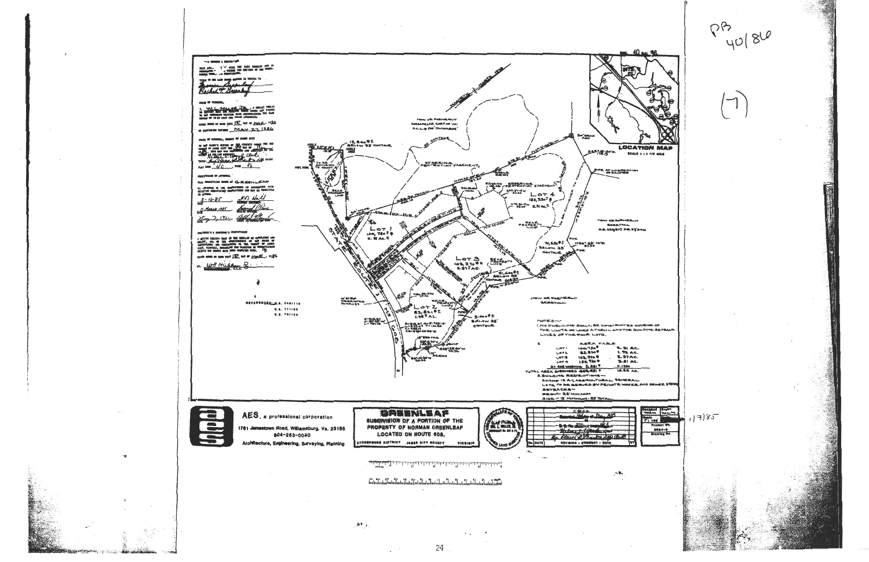

**U. TIE-MANAGEL**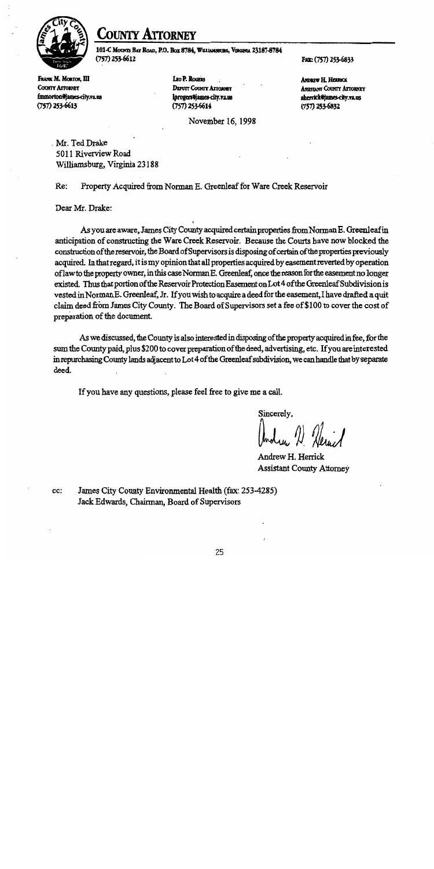

# **LOUNTY ATTORNEY**

101-C MOUNTS BAY ROAD, P.O. BOX 8784, WILLIAMSHURG, VIRGINIA 23187-8784  $(757)$  253-6612

Fax: (757) 253-6833

FRANK M. MORTON, III **COUNTY ATTORNEY** fmmorton@ames-city.va.us  $(757)$  253-6613

LEO P. ROGERS **DEPUTY COUNTY ATTORNEY** lprogers@james-city.va.us  $(757)$  253-6614

November 16, 1998

**ANDREW H. HERRICK ASSISTANT COUNTY ATTORNEY** aherrick@james-city.va.us  $(757)$  253-6832

Mr. Ted Drake 5011 Riverview Road Williamsburg, Virginia 23188

Re: Property Acquired from Norman E. Greenleaf for Ware Creek Reservoir

Dear Mr. Drake:

As you are aware, James City County acquired certain properties from Norman E. Greenleaf in anticipation of constructing the Ware Creek Reservoir. Because the Courts have now blocked the construction of the reservoir, the Board of Supervisors is disposing of certain of the properties previously acquired. In that regard, it is my opinion that all properties acquired by easement reverted by operation of law to the property owner, in this case Norman E. Greenleaf, once the reason for the easement no longer existed. Thus that portion of the Reservoir Protection Easement on Lot 4 of the Greenleaf Subdivision is vested in Norman E. Greenleaf, Jr. If you wish to acquire a deed for the easement, I have drafted a quit claim deed from James City County. The Board of Supervisors set a fee of \$100 to cover the cost of preparation of the document.

As we discussed, the County is also interested in disposing of the property acquired in fee, for the sum the County paid, plus \$200 to cover preparation of the deed, advertising, etc. If you are interested in repurchasing County lands adjacent to Lot 4 of the Greenleaf subdivision, we can handle that by separate deed.

If you have any questions, please feel free to give me a call.

Sincerely,

Andrew H. Herrick **Assistant County Attorney** 

James City County Environmental Health (fax: 253-4285) cc: Jack Edwards, Chairman, Board of Supervisors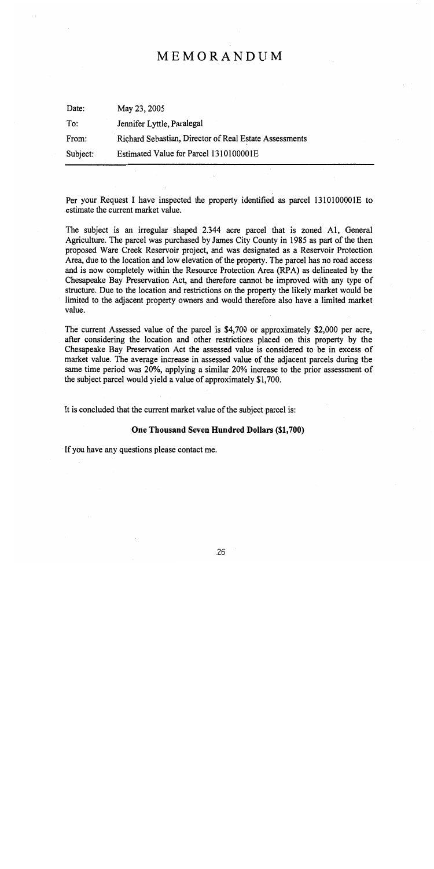# MEMORANDUM

| Date:    | May 23, 2005                                           |
|----------|--------------------------------------------------------|
| To:      | Jennifer Lyttle, Paralegal                             |
| From:    | Richard Sebastian, Director of Real Estate Assessments |
| Subject: | Estimated Value for Parcel 1310100001E                 |

Per your Request I have inspected the property identified as parcel 1310100001E to estimate the current market value.

The subject is an irregular shaped 2.344 acre parcel that is zoned A1, General Agriculture. The parcel was purchased by James City County in 1985 as part of the then proposed Ware Creek Reservoir project, and was designated as a Reservoir Protection Area, due to the location and low elevation of the property. The parcel has no road access and is now completely within the Resource Protection Area (RPA) as delineated by the Chesapeake Bay Preservation Act, and therefore cannot be improved with any type of structure. Due to the location and restrictions on the property the likely market would be limited to the adjacent property owners and would therefore also have a limited market value.

The current Assessed value of the parcel is \$4,700 or approximately \$2,000 per acre, after considering the location and other restrictions placed on this property by the Chesapeake Bay Preservation Act the assessed value is considered to be in excess of market value. The average increase in assessed value of the adjacent parcels during the same time period was 20%, applying a similar 20% increase to the prior assessment of the subject parcel would yield a value of approximately \$1,700.

It is concluded that the current market value of the subject parcel is:

#### One Thousand Seven Hundred Dollars (\$1,700)

If you have any questions please contact me.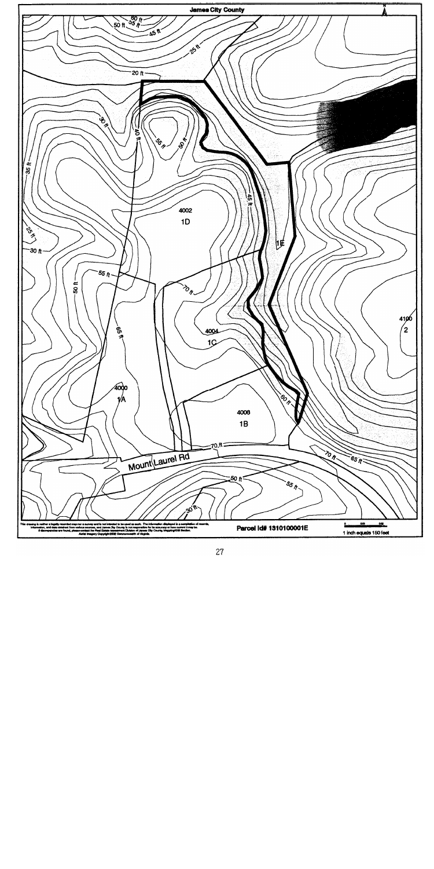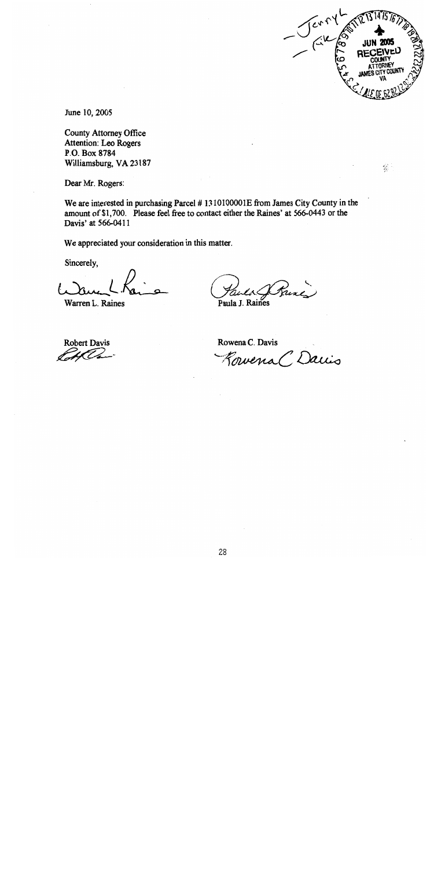

 $\frac{d\mathcal{L}}{d\mathcal{L}}$ 

June 10, 2005

**County Attorney Office** Attention: Leo Rogers P.O. Box 8784 Williamsburg, VA 23187

Dear Mr. Rogers:

We are interested in purchasing Parcel #1310100001E from James City County in the amount of \$1,700. Please feel free to contact either the Raines' at 566-0443 or the Davis' at 566-0411

We appreciated your consideration in this matter.

Sincerely,

Warren L. Raines

Trine Paula J. Raines

**Robert Davis** UV.

Rowena C. Davis

Rowena C Davis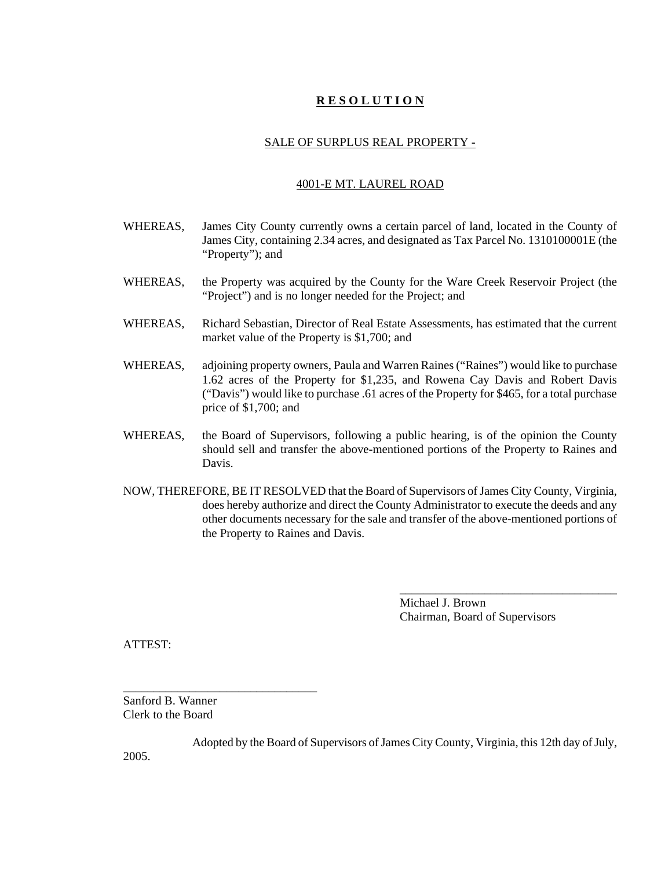# **R E S O L U T I O N**

#### SALE OF SURPLUS REAL PROPERTY -

#### 4001-E MT. LAUREL ROAD

- WHEREAS, James City County currently owns a certain parcel of land, located in the County of James City, containing 2.34 acres, and designated as Tax Parcel No. 1310100001E (the "Property"); and
- WHEREAS, the Property was acquired by the County for the Ware Creek Reservoir Project (the "Project") and is no longer needed for the Project; and
- WHEREAS, Richard Sebastian, Director of Real Estate Assessments, has estimated that the current market value of the Property is \$1,700; and
- WHEREAS, adjoining property owners, Paula and Warren Raines ("Raines") would like to purchase 1.62 acres of the Property for \$1,235, and Rowena Cay Davis and Robert Davis ("Davis") would like to purchase .61 acres of the Property for \$465, for a total purchase price of \$1,700; and
- WHEREAS, the Board of Supervisors, following a public hearing, is of the opinion the County should sell and transfer the above-mentioned portions of the Property to Raines and Davis.
- NOW, THEREFORE, BE IT RESOLVED that the Board of Supervisors of James City County, Virginia, does hereby authorize and direct the County Administrator to execute the deeds and any other documents necessary for the sale and transfer of the above-mentioned portions of the Property to Raines and Davis.

Michael J. Brown Chairman, Board of Supervisors

\_\_\_\_\_\_\_\_\_\_\_\_\_\_\_\_\_\_\_\_\_\_\_\_\_\_\_\_\_\_\_\_\_\_\_\_

ATTEST:

2005.

Sanford B. Wanner Clerk to the Board

\_\_\_\_\_\_\_\_\_\_\_\_\_\_\_\_\_\_\_\_\_\_\_\_\_\_\_\_\_\_\_\_

Adopted by the Board of Supervisors of James City County, Virginia, this 12th day of July,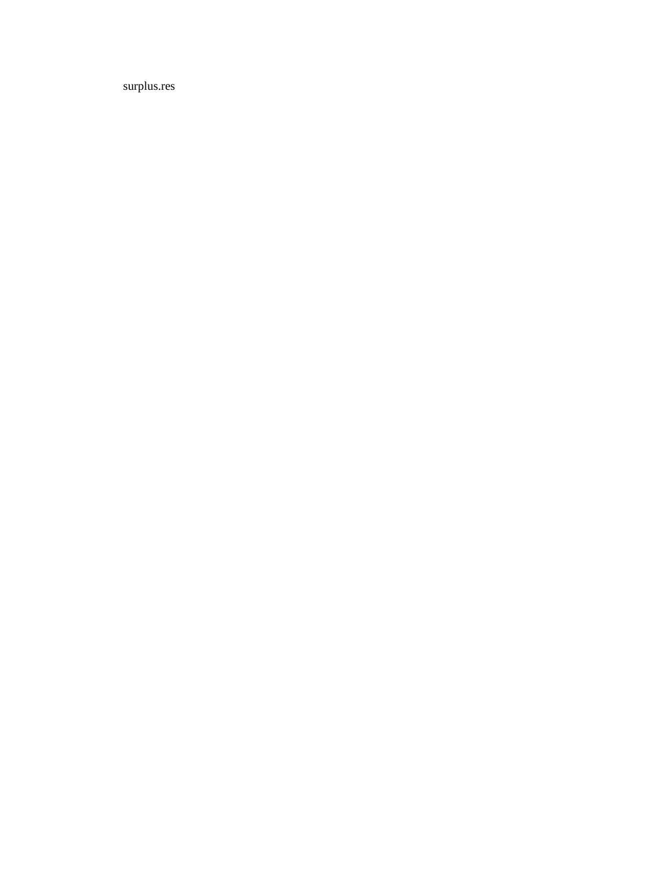surplus.res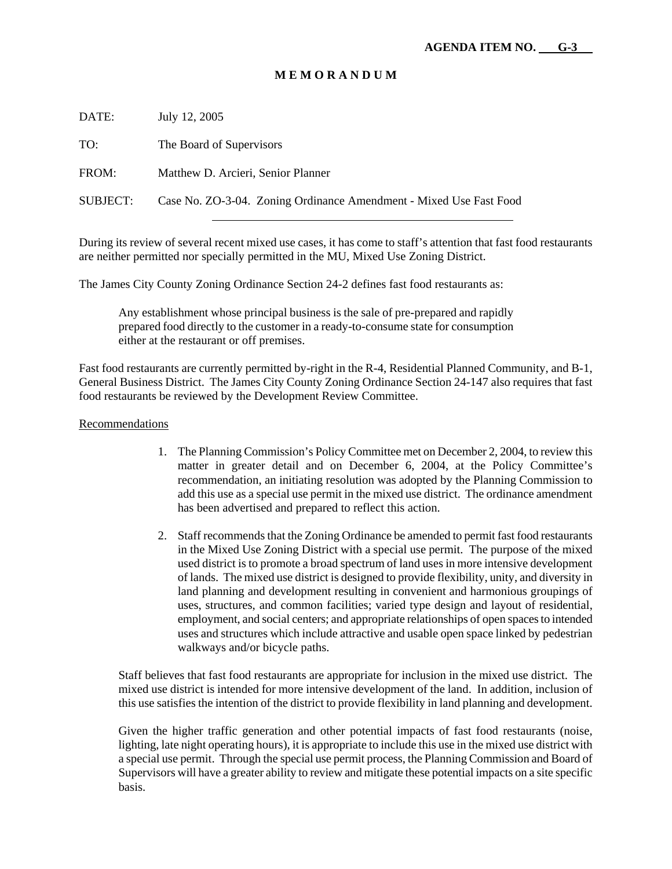# **M E M O R A N D U M**

DATE: July 12, 2005

TO: The Board of Supervisors

FROM: Matthew D. Arcieri, Senior Planner

SUBJECT: Case No. ZO-3-04. Zoning Ordinance Amendment - Mixed Use Fast Food

During its review of several recent mixed use cases, it has come to staff's attention that fast food restaurants are neither permitted nor specially permitted in the MU, Mixed Use Zoning District.

The James City County Zoning Ordinance Section 24-2 defines fast food restaurants as:

Any establishment whose principal business is the sale of pre-prepared and rapidly prepared food directly to the customer in a ready-to-consume state for consumption either at the restaurant or off premises.

Fast food restaurants are currently permitted by-right in the R-4, Residential Planned Community, and B-1, General Business District. The James City County Zoning Ordinance Section 24-147 also requires that fast food restaurants be reviewed by the Development Review Committee.

#### Recommendations

- 1. The Planning Commission's Policy Committee met on December 2, 2004, to review this matter in greater detail and on December 6, 2004, at the Policy Committee's recommendation, an initiating resolution was adopted by the Planning Commission to add this use as a special use permit in the mixed use district. The ordinance amendment has been advertised and prepared to reflect this action.
- 2. Staff recommends that the Zoning Ordinance be amended to permit fast food restaurants in the Mixed Use Zoning District with a special use permit. The purpose of the mixed used district is to promote a broad spectrum of land uses in more intensive development of lands. The mixed use district is designed to provide flexibility, unity, and diversity in land planning and development resulting in convenient and harmonious groupings of uses, structures, and common facilities; varied type design and layout of residential, employment, and social centers; and appropriate relationships of open spaces to intended uses and structures which include attractive and usable open space linked by pedestrian walkways and/or bicycle paths.

Staff believes that fast food restaurants are appropriate for inclusion in the mixed use district. The mixed use district is intended for more intensive development of the land. In addition, inclusion of this use satisfies the intention of the district to provide flexibility in land planning and development.

Given the higher traffic generation and other potential impacts of fast food restaurants (noise, lighting, late night operating hours), it is appropriate to include this use in the mixed use district with a special use permit. Through the special use permit process, the Planning Commission and Board of Supervisors will have a greater ability to review and mitigate these potential impacts on a site specific basis.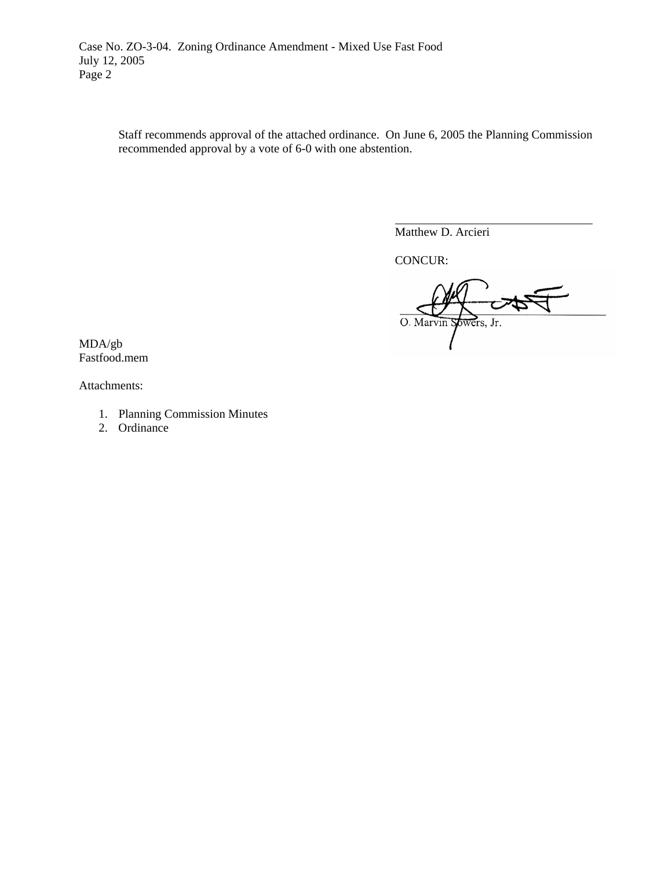Staff recommends approval of the attached ordinance. On June 6, 2005 the Planning Commission recommended approval by a vote of 6-0 with one abstention.

Matthew D. Arcieri

CONCUR:

 $\overline{a}$ 

O. Marvin Sowers, Jr.

MDA/gb Fastfood.mem

Attachments:

- 1. Planning Commission Minutes
- 2. Ordinance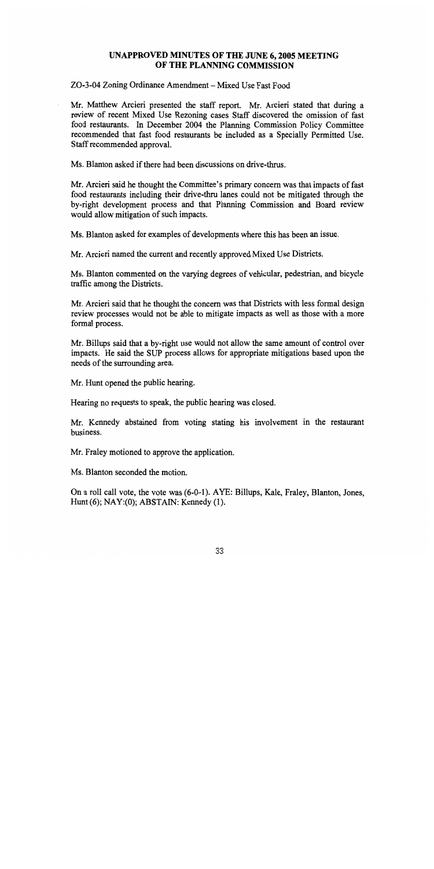# UNAPPROVED MINUTES OF THE JUNE 6, 2005 MEETING OF THE PLANNING COMMISSION

#### ZO-3-04 Zoning Ordinance Amendment – Mixed Use Fast Food

Mr. Matthew Arcieri presented the staff report. Mr. Arcieri stated that during a review of recent Mixed Use Rezoning cases Staff discovered the omission of fast food restaurants. In December 2004 the Planning Commission Policy Committee recommended that fast food restaurants be included as a Specially Permitted Use. Staff recommended approval.

Ms. Blanton asked if there had been discussions on drive-thrus.

Mr. Arcieri said he thought the Committee's primary concern was that impacts of fast food restaurants including their drive-thru lanes could not be mitigated through the by-right development process and that Planning Commission and Board review would allow mitigation of such impacts.

Ms. Blanton asked for examples of developments where this has been an issue.

Mr. Arcieri named the current and recently approved Mixed Use Districts.

Ms. Blanton commented on the varying degrees of vehicular, pedestrian, and bicycle traffic among the Districts.

Mr. Arcieri said that he thought the concern was that Districts with less formal design review processes would not be able to mitigate impacts as well as those with a more formal process.

Mr. Billups said that a by-right use would not allow the same amount of control over impacts. He said the SUP process allows for appropriate mitigations based upon the needs of the surrounding area.

Mr. Hunt opened the public hearing.

Hearing no requests to speak, the public hearing was closed.

Mr. Kennedy abstained from voting stating his involvement in the restaurant husiness.

Mr. Fraley motioned to approve the application.

Ms. Blanton seconded the motion.

On a roll call vote, the vote was (6-0-1). AYE: Billups, Kale, Fraley, Blanton, Jones, Hunt  $(6)$ ; NAY: $(0)$ ; ABSTAIN: Kennedy  $(1)$ .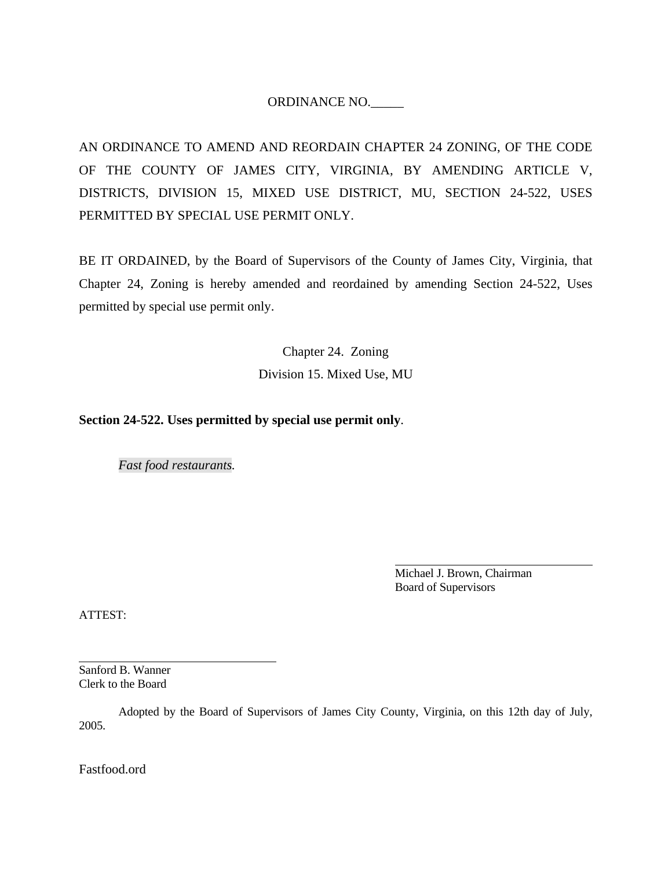# ORDINANCE NO.\_\_\_\_\_

AN ORDINANCE TO AMEND AND REORDAIN CHAPTER 24 ZONING, OF THE CODE OF THE COUNTY OF JAMES CITY, VIRGINIA, BY AMENDING ARTICLE V, DISTRICTS, DIVISION 15, MIXED USE DISTRICT, MU, SECTION 24-522, USES PERMITTED BY SPECIAL USE PERMIT ONLY.

BE IT ORDAINED, by the Board of Supervisors of the County of James City, Virginia, that Chapter 24, Zoning is hereby amended and reordained by amending Section 24-522, Uses permitted by special use permit only.

> Chapter 24. Zoning Division 15. Mixed Use, MU

# **Section 24-522. Uses permitted by special use permit only**.

*Fast food restaurants.*

 Michael J. Brown, Chairman Board of Supervisors

ATTEST:

l

Sanford B. Wanner Clerk to the Board

 Adopted by the Board of Supervisors of James City County, Virginia, on this 12th day of July, 2005.

Fastfood.ord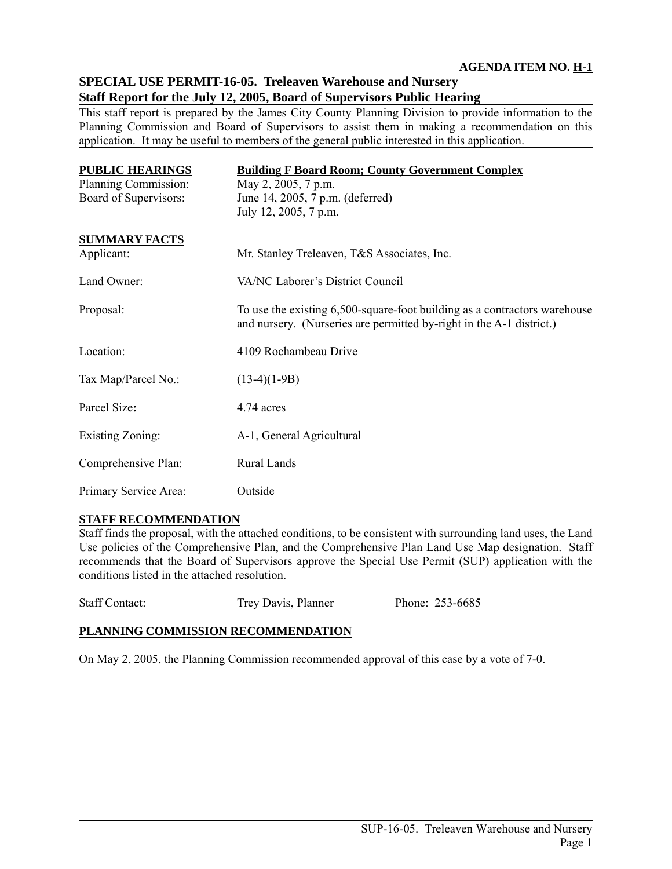# **SPECIAL USE PERMIT-16-05. Treleaven Warehouse and Nursery Staff Report for the July 12, 2005, Board of Supervisors Public Hearing**

This staff report is prepared by the James City County Planning Division to provide information to the Planning Commission and Board of Supervisors to assist them in making a recommendation on this application. It may be useful to members of the general public interested in this application.

| <b>PUBLIC HEARINGS</b>  | <b>Building F Board Room; County Government Complex</b>                                                                                           |
|-------------------------|---------------------------------------------------------------------------------------------------------------------------------------------------|
| Planning Commission:    | May 2, 2005, 7 p.m.                                                                                                                               |
| Board of Supervisors:   | June 14, 2005, 7 p.m. (deferred)                                                                                                                  |
|                         | July 12, 2005, 7 p.m.                                                                                                                             |
| <b>SUMMARY FACTS</b>    |                                                                                                                                                   |
| Applicant:              | Mr. Stanley Treleaven, T&S Associates, Inc.                                                                                                       |
| Land Owner:             | VA/NC Laborer's District Council                                                                                                                  |
| Proposal:               | To use the existing 6,500-square-foot building as a contractors warehouse<br>and nursery. (Nurseries are permitted by-right in the A-1 district.) |
| Location:               | 4109 Rochambeau Drive                                                                                                                             |
| Tax Map/Parcel No.:     | $(13-4)(1-9B)$                                                                                                                                    |
| Parcel Size:            | 4.74 acres                                                                                                                                        |
| <b>Existing Zoning:</b> | A-1, General Agricultural                                                                                                                         |
| Comprehensive Plan:     | Rural Lands                                                                                                                                       |
| Primary Service Area:   | Outside                                                                                                                                           |

# **STAFF RECOMMENDATION**

Staff finds the proposal, with the attached conditions, to be consistent with surrounding land uses, the Land Use policies of the Comprehensive Plan, and the Comprehensive Plan Land Use Map designation. Staff recommends that the Board of Supervisors approve the Special Use Permit (SUP) application with the conditions listed in the attached resolution.

Staff Contact: Trey Davis, Planner Phone: 253-6685

# **PLANNING COMMISSION RECOMMENDATION**

On May 2, 2005, the Planning Commission recommended approval of this case by a vote of 7-0.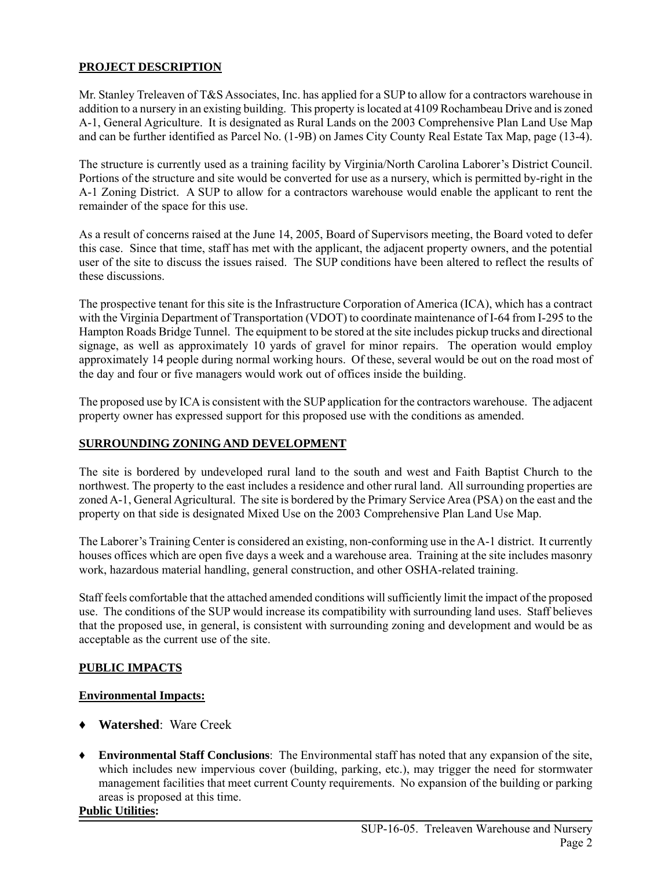# **PROJECT DESCRIPTION**

Mr. Stanley Treleaven of T&S Associates, Inc. has applied for a SUP to allow for a contractors warehouse in addition to a nursery in an existing building. This property is located at 4109 Rochambeau Drive and is zoned A-1, General Agriculture. It is designated as Rural Lands on the 2003 Comprehensive Plan Land Use Map and can be further identified as Parcel No. (1-9B) on James City County Real Estate Tax Map, page (13-4).

The structure is currently used as a training facility by Virginia/North Carolina Laborer's District Council. Portions of the structure and site would be converted for use as a nursery, which is permitted by-right in the A-1 Zoning District. A SUP to allow for a contractors warehouse would enable the applicant to rent the remainder of the space for this use.

As a result of concerns raised at the June 14, 2005, Board of Supervisors meeting, the Board voted to defer this case. Since that time, staff has met with the applicant, the adjacent property owners, and the potential user of the site to discuss the issues raised. The SUP conditions have been altered to reflect the results of these discussions.

The prospective tenant for this site is the Infrastructure Corporation of America (ICA), which has a contract with the Virginia Department of Transportation (VDOT) to coordinate maintenance of I-64 from I-295 to the Hampton Roads Bridge Tunnel. The equipment to be stored at the site includes pickup trucks and directional signage, as well as approximately 10 yards of gravel for minor repairs. The operation would employ approximately 14 people during normal working hours. Of these, several would be out on the road most of the day and four or five managers would work out of offices inside the building.

The proposed use by ICA is consistent with the SUP application for the contractors warehouse. The adjacent property owner has expressed support for this proposed use with the conditions as amended.

# **SURROUNDING ZONING AND DEVELOPMENT**

The site is bordered by undeveloped rural land to the south and west and Faith Baptist Church to the northwest. The property to the east includes a residence and other rural land. All surrounding properties are zoned A-1, General Agricultural. The site is bordered by the Primary Service Area (PSA) on the east and the property on that side is designated Mixed Use on the 2003 Comprehensive Plan Land Use Map.

The Laborer's Training Center is considered an existing, non-conforming use in the A-1 district. It currently houses offices which are open five days a week and a warehouse area. Training at the site includes masonry work, hazardous material handling, general construction, and other OSHA-related training.

Staff feels comfortable that the attached amended conditions will sufficiently limit the impact of the proposed use. The conditions of the SUP would increase its compatibility with surrounding land uses. Staff believes that the proposed use, in general, is consistent with surrounding zoning and development and would be as acceptable as the current use of the site.

# **PUBLIC IMPACTS**

# **Environmental Impacts:**

- ♦ **Watershed**: Ware Creek
- ♦ **Environmental Staff Conclusions**: The Environmental staff has noted that any expansion of the site, which includes new impervious cover (building, parking, etc.), may trigger the need for stormwater management facilities that meet current County requirements. No expansion of the building or parking areas is proposed at this time.

# **Public Utilities:**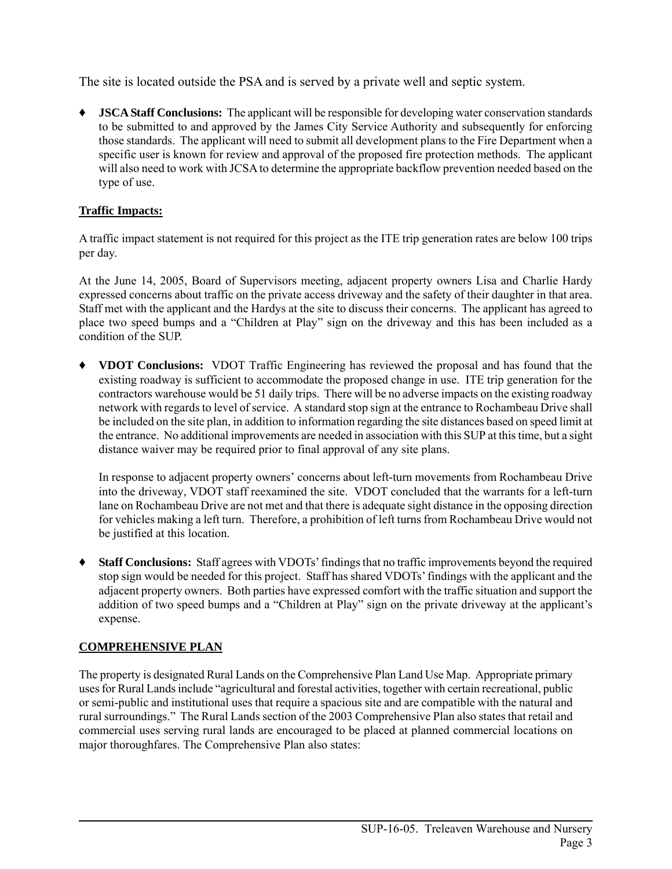The site is located outside the PSA and is served by a private well and septic system.

**JSCA Staff Conclusions:** The applicant will be responsible for developing water conservation standards to be submitted to and approved by the James City Service Authority and subsequently for enforcing those standards. The applicant will need to submit all development plans to the Fire Department when a specific user is known for review and approval of the proposed fire protection methods. The applicant will also need to work with JCSA to determine the appropriate backflow prevention needed based on the type of use.

# **Traffic Impacts:**

A traffic impact statement is not required for this project as the ITE trip generation rates are below 100 trips per day.

At the June 14, 2005, Board of Supervisors meeting, adjacent property owners Lisa and Charlie Hardy expressed concerns about traffic on the private access driveway and the safety of their daughter in that area. Staff met with the applicant and the Hardys at the site to discuss their concerns. The applicant has agreed to place two speed bumps and a "Children at Play" sign on the driveway and this has been included as a condition of the SUP.

♦ **VDOT Conclusions:** VDOT Traffic Engineering has reviewed the proposal and has found that the existing roadway is sufficient to accommodate the proposed change in use. ITE trip generation for the contractors warehouse would be 51 daily trips. There will be no adverse impacts on the existing roadway network with regards to level of service. A standard stop sign at the entrance to Rochambeau Drive shall be included on the site plan, in addition to information regarding the site distances based on speed limit at the entrance. No additional improvements are needed in association with this SUP at this time, but a sight distance waiver may be required prior to final approval of any site plans.

In response to adjacent property owners' concerns about left-turn movements from Rochambeau Drive into the driveway, VDOT staff reexamined the site. VDOT concluded that the warrants for a left-turn lane on Rochambeau Drive are not met and that there is adequate sight distance in the opposing direction for vehicles making a left turn. Therefore, a prohibition of left turns from Rochambeau Drive would not be justified at this location.

♦ **Staff Conclusions:** Staff agrees with VDOTs' findings that no traffic improvements beyond the required stop sign would be needed for this project. Staff has shared VDOTs' findings with the applicant and the adjacent property owners. Both parties have expressed comfort with the traffic situation and support the addition of two speed bumps and a "Children at Play" sign on the private driveway at the applicant's expense.

# **COMPREHENSIVE PLAN**

The property is designated Rural Lands on the Comprehensive Plan Land Use Map. Appropriate primary uses for Rural Lands include "agricultural and forestal activities, together with certain recreational, public or semi-public and institutional uses that require a spacious site and are compatible with the natural and rural surroundings." The Rural Lands section of the 2003 Comprehensive Plan also states that retail and commercial uses serving rural lands are encouraged to be placed at planned commercial locations on major thoroughfares. The Comprehensive Plan also states: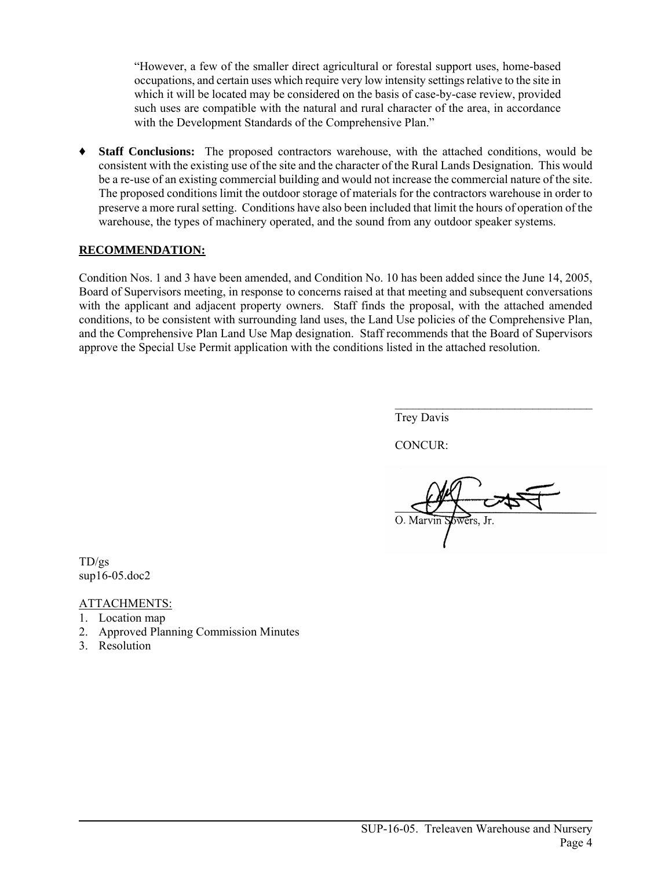"However, a few of the smaller direct agricultural or forestal support uses, home-based occupations, and certain uses which require very low intensity settings relative to the site in which it will be located may be considered on the basis of case-by-case review, provided such uses are compatible with the natural and rural character of the area, in accordance with the Development Standards of the Comprehensive Plan."

♦ **Staff Conclusions:** The proposed contractors warehouse, with the attached conditions, would be consistent with the existing use of the site and the character of the Rural Lands Designation. This would be a re-use of an existing commercial building and would not increase the commercial nature of the site. The proposed conditions limit the outdoor storage of materials for the contractors warehouse in order to preserve a more rural setting. Conditions have also been included that limit the hours of operation of the warehouse, the types of machinery operated, and the sound from any outdoor speaker systems.

# **RECOMMENDATION:**

Condition Nos. 1 and 3 have been amended, and Condition No. 10 has been added since the June 14, 2005, Board of Supervisors meeting, in response to concerns raised at that meeting and subsequent conversations with the applicant and adjacent property owners. Staff finds the proposal, with the attached amended conditions, to be consistent with surrounding land uses, the Land Use policies of the Comprehensive Plan, and the Comprehensive Plan Land Use Map designation. Staff recommends that the Board of Supervisors approve the Special Use Permit application with the conditions listed in the attached resolution.

Trey Davis

CONCUR:

 $\mathcal{L}_\text{max}$ 

TD/gs sup16-05.doc2

# ATTACHMENTS:

- 1. Location map
- 2. Approved Planning Commission Minutes
- 3. Resolution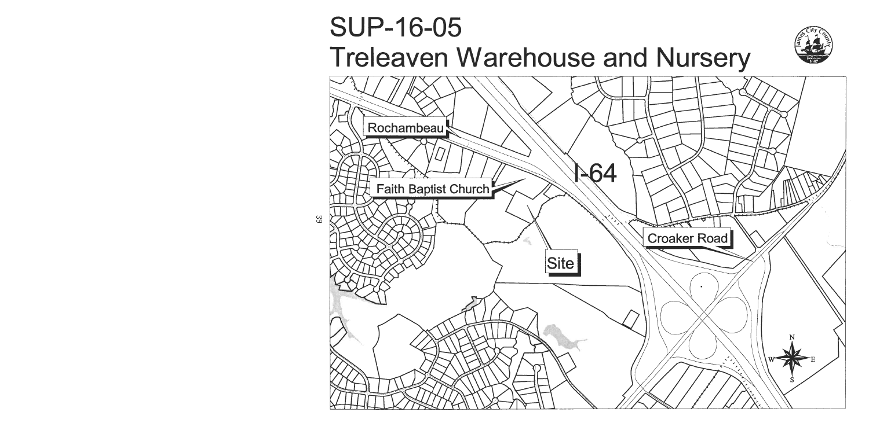# **SUP-16-05 Treleaven Warehouse and Nursery**

ယ္က



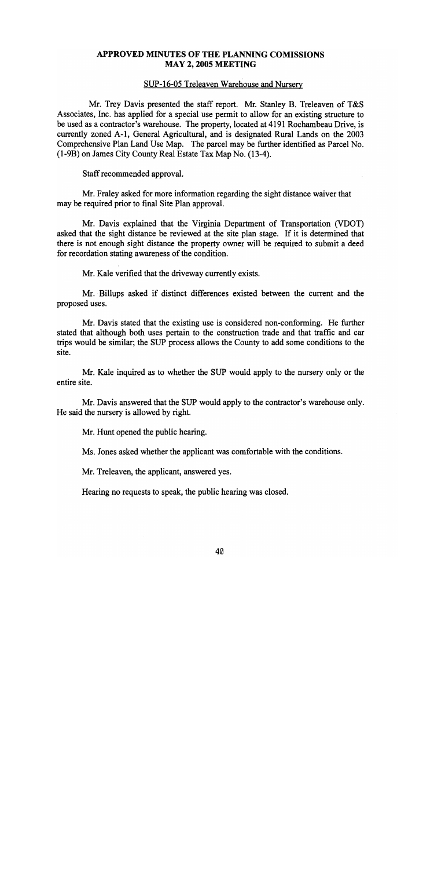# APPROVED MINUTES OF THE PLANNING COMISSIONS **MAY 2, 2005 MEETING**

#### SUP-16-05 Treleaven Warehouse and Nursery

Mr. Trey Davis presented the staff report. Mr. Stanley B. Treleaven of T&S Associates, Inc. has applied for a special use permit to allow for an existing structure to be used as a contractor's warehouse. The property, located at 4191 Rochambeau Drive, is currently zoned A-1, General Agricultural, and is designated Rural Lands on the 2003 Comprehensive Plan Land Use Map. The parcel may be further identified as Parcel No. (1-9B) on James City County Real Estate Tax Map No. (13-4).

Staff recommended approval.

Mr. Fraley asked for more information regarding the sight distance waiver that may be required prior to final Site Plan approval.

Mr. Davis explained that the Virginia Department of Transportation (VDOT) asked that the sight distance be reviewed at the site plan stage. If it is determined that there is not enough sight distance the property owner will be required to submit a deed for recordation stating awareness of the condition.

Mr. Kale verified that the driveway currently exists.

Mr. Billups asked if distinct differences existed between the current and the proposed uses.

Mr. Davis stated that the existing use is considered non-conforming. He further stated that although both uses pertain to the construction trade and that traffic and car trips would be similar; the SUP process allows the County to add some conditions to the site.

Mr. Kale inquired as to whether the SUP would apply to the nursery only or the entire site.

Mr. Davis answered that the SUP would apply to the contractor's warehouse only. He said the nursery is allowed by right.

Mr. Hunt opened the public hearing.

Ms. Jones asked whether the applicant was comfortable with the conditions.

Mr. Treleaven, the applicant, answered yes.

Hearing no requests to speak, the public hearing was closed.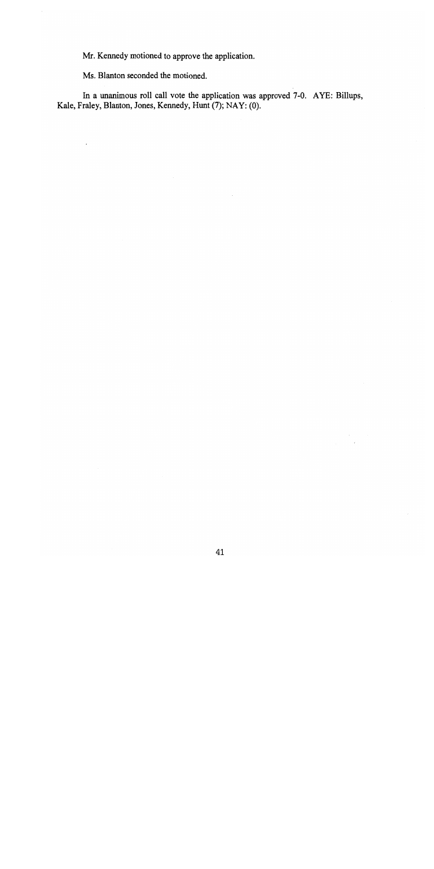Mr. Kennedy motioned to approve the application.

Ms. Blanton seconded the motioned.

In a unanimous roll call vote the application was approved 7-0. AYE: Billups, Kale, Fraley, Blanton, Jones, Kennedy, Hunt (7); NAY: (0).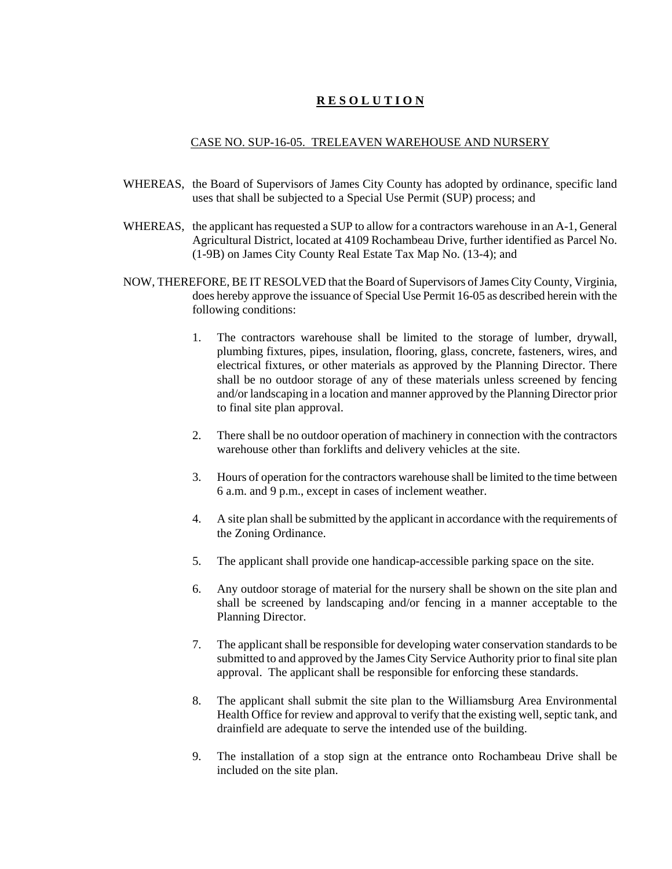# **R E S O L U T I O N**

#### CASE NO. SUP-16-05. TRELEAVEN WAREHOUSE AND NURSERY

- WHEREAS, the Board of Supervisors of James City County has adopted by ordinance, specific land uses that shall be subjected to a Special Use Permit (SUP) process; and
- WHEREAS, the applicant has requested a SUP to allow for a contractors warehouse in an A-1, General Agricultural District, located at 4109 Rochambeau Drive, further identified as Parcel No. (1-9B) on James City County Real Estate Tax Map No. (13-4); and
- NOW, THEREFORE, BE IT RESOLVED that the Board of Supervisors of James City County, Virginia, does hereby approve the issuance of Special Use Permit 16-05 as described herein with the following conditions:
	- 1. The contractors warehouse shall be limited to the storage of lumber, drywall, plumbing fixtures, pipes, insulation, flooring, glass, concrete, fasteners, wires, and electrical fixtures, or other materials as approved by the Planning Director. There shall be no outdoor storage of any of these materials unless screened by fencing and/or landscaping in a location and manner approved by the Planning Director prior to final site plan approval.
	- 2. There shall be no outdoor operation of machinery in connection with the contractors warehouse other than forklifts and delivery vehicles at the site.
	- 3. Hours of operation for the contractors warehouse shall be limited to the time between 6 a.m. and 9 p.m., except in cases of inclement weather.
	- 4. A site plan shall be submitted by the applicant in accordance with the requirements of the Zoning Ordinance.
	- 5. The applicant shall provide one handicap-accessible parking space on the site.
	- 6. Any outdoor storage of material for the nursery shall be shown on the site plan and shall be screened by landscaping and/or fencing in a manner acceptable to the Planning Director.
	- 7. The applicant shall be responsible for developing water conservation standards to be submitted to and approved by the James City Service Authority prior to final site plan approval. The applicant shall be responsible for enforcing these standards.
	- 8. The applicant shall submit the site plan to the Williamsburg Area Environmental Health Office for review and approval to verify that the existing well, septic tank, and drainfield are adequate to serve the intended use of the building.
	- 9. The installation of a stop sign at the entrance onto Rochambeau Drive shall be included on the site plan.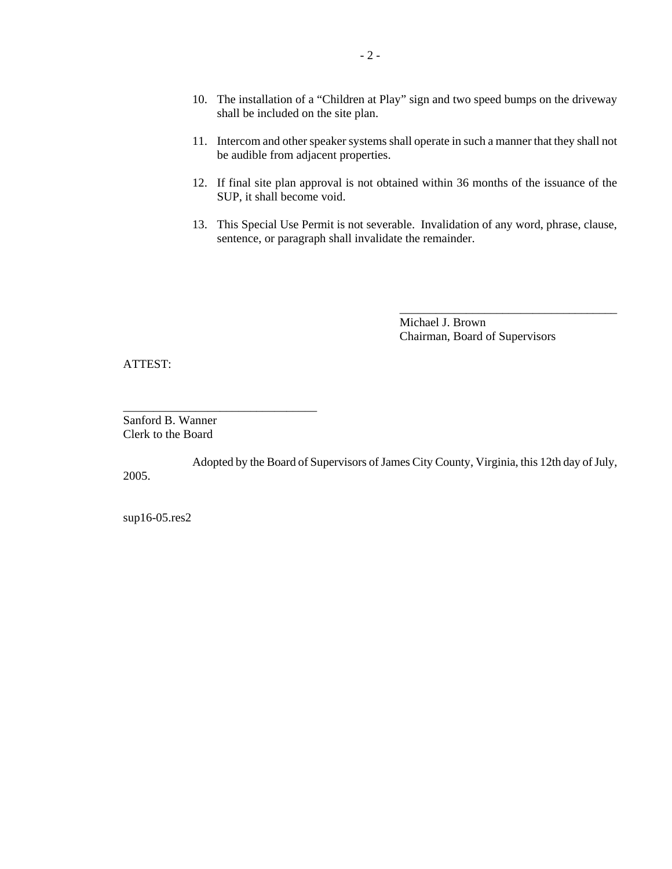- 10. The installation of a "Children at Play" sign and two speed bumps on the driveway shall be included on the site plan.
- 11. Intercom and other speaker systems shall operate in such a manner that they shall not be audible from adjacent properties.
- 12. If final site plan approval is not obtained within 36 months of the issuance of the SUP, it shall become void.
- 13. This Special Use Permit is not severable. Invalidation of any word, phrase, clause, sentence, or paragraph shall invalidate the remainder.

Michael J. Brown Chairman, Board of Supervisors

\_\_\_\_\_\_\_\_\_\_\_\_\_\_\_\_\_\_\_\_\_\_\_\_\_\_\_\_\_\_\_\_\_\_\_\_

ATTEST:

Sanford B. Wanner Clerk to the Board

\_\_\_\_\_\_\_\_\_\_\_\_\_\_\_\_\_\_\_\_\_\_\_\_\_\_\_\_\_\_\_\_

Adopted by the Board of Supervisors of James City County, Virginia, this 12th day of July, 2005.

sup16-05.res2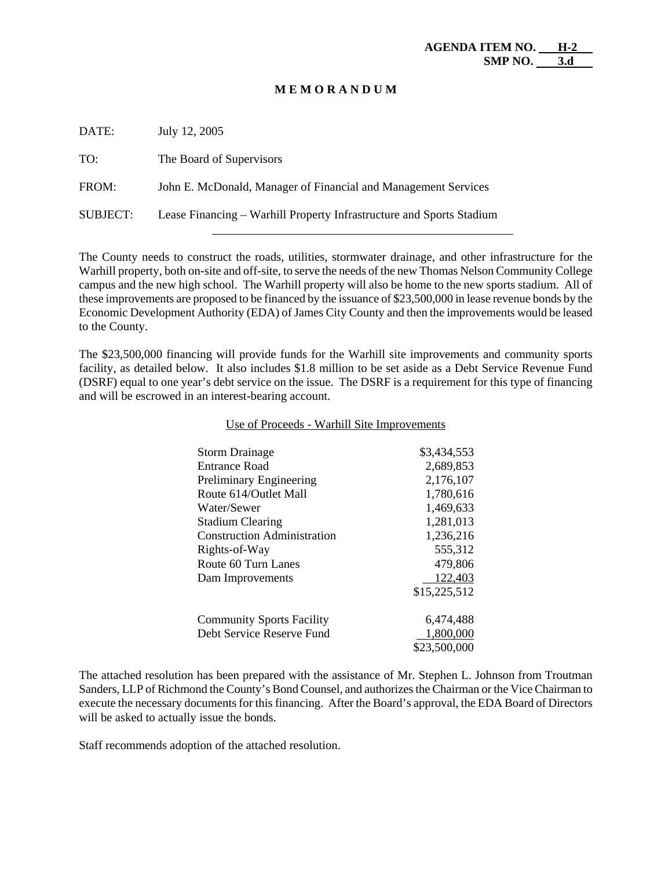#### **M E M O R A N D U M**

| DATE:           | July 12, 2005                                                        |
|-----------------|----------------------------------------------------------------------|
| TO:             | The Board of Supervisors                                             |
| FROM:           | John E. McDonald, Manager of Financial and Management Services       |
| <b>SUBJECT:</b> | Lease Financing – Warhill Property Infrastructure and Sports Stadium |

The County needs to construct the roads, utilities, stormwater drainage, and other infrastructure for the Warhill property, both on-site and off-site, to serve the needs of the new Thomas Nelson Community College campus and the new high school. The Warhill property will also be home to the new sports stadium. All of these improvements are proposed to be financed by the issuance of \$23,500,000 in lease revenue bonds by the Economic Development Authority (EDA) of James City County and then the improvements would be leased to the County.

The \$23,500,000 financing will provide funds for the Warhill site improvements and community sports facility, as detailed below. It also includes \$1.8 million to be set aside as a Debt Service Revenue Fund (DSRF) equal to one year's debt service on the issue. The DSRF is a requirement for this type of financing and will be escrowed in an interest-bearing account.

| <b>Storm Drainage</b>              | \$3,434,553  |
|------------------------------------|--------------|
| Entrance Road                      | 2,689,853    |
| Preliminary Engineering            | 2,176,107    |
| Route 614/Outlet Mall              | 1,780,616    |
| Water/Sewer                        | 1,469,633    |
| <b>Stadium Clearing</b>            | 1,281,013    |
| <b>Construction Administration</b> | 1,236,216    |
| Rights-of-Way                      | 555,312      |
| Route 60 Turn Lanes                | 479,806      |
| Dam Improvements                   | 122,403      |
|                                    | \$15,225,512 |
| <b>Community Sports Facility</b>   | 6,474,488    |
| Debt Service Reserve Fund          | 1,800,000    |
|                                    | \$23,500,000 |

#### Use of Proceeds - Warhill Site Improvements

The attached resolution has been prepared with the assistance of Mr. Stephen L. Johnson from Troutman Sanders, LLP of Richmond the County's Bond Counsel, and authorizes the Chairman or the Vice Chairman to execute the necessary documents for this financing. After the Board's approval, the EDA Board of Directors will be asked to actually issue the bonds.

Staff recommends adoption of the attached resolution.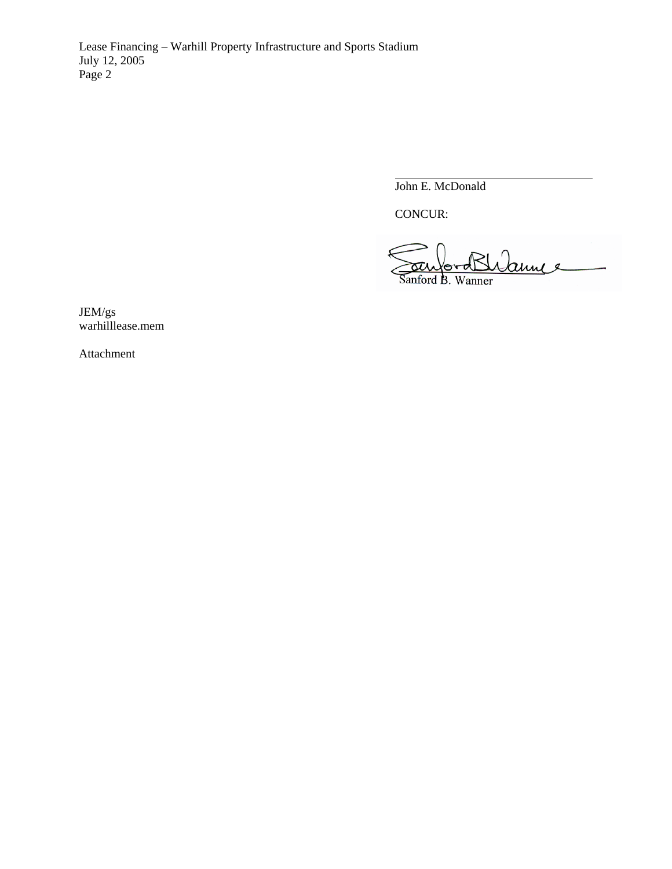Lease Financing – Warhill Property Infrastructure and Sports Stadium July 12, 2005 Page 2

John E. McDonald

CONCUR:

 $\overline{a}$ 

annee Sanford B. Wanner

JEM/gs warhilllease.mem

Attachment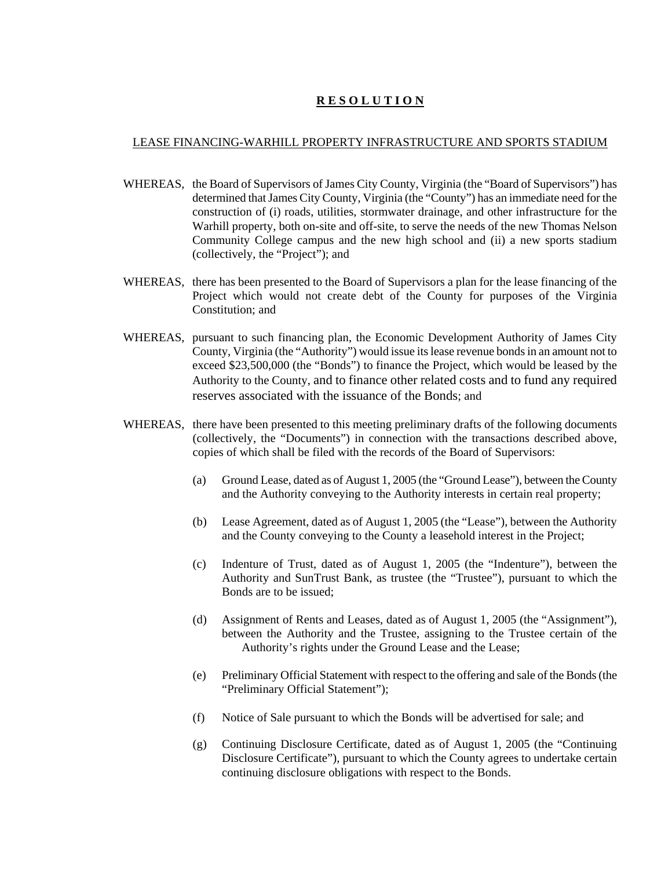# **R E S O L U T I O N**

#### LEASE FINANCING-WARHILL PROPERTY INFRASTRUCTURE AND SPORTS STADIUM

- WHEREAS, the Board of Supervisors of James City County, Virginia (the "Board of Supervisors") has determined that James City County, Virginia (the "County") has an immediate need for the construction of (i) roads, utilities, stormwater drainage, and other infrastructure for the Warhill property, both on-site and off-site, to serve the needs of the new Thomas Nelson Community College campus and the new high school and (ii) a new sports stadium (collectively, the "Project"); and
- WHEREAS, there has been presented to the Board of Supervisors a plan for the lease financing of the Project which would not create debt of the County for purposes of the Virginia Constitution; and
- WHEREAS, pursuant to such financing plan, the Economic Development Authority of James City County, Virginia (the "Authority") would issue its lease revenue bonds in an amount not to exceed \$23,500,000 (the "Bonds") to finance the Project, which would be leased by the Authority to the County, and to finance other related costs and to fund any required reserves associated with the issuance of the Bonds; and
- WHEREAS, there have been presented to this meeting preliminary drafts of the following documents (collectively, the "Documents") in connection with the transactions described above, copies of which shall be filed with the records of the Board of Supervisors:
	- (a) Ground Lease, dated as of August 1, 2005 (the "Ground Lease"), between the County and the Authority conveying to the Authority interests in certain real property;
	- (b) Lease Agreement, dated as of August 1, 2005 (the "Lease"), between the Authority and the County conveying to the County a leasehold interest in the Project;
	- (c) Indenture of Trust, dated as of August 1, 2005 (the "Indenture"), between the Authority and SunTrust Bank, as trustee (the "Trustee"), pursuant to which the Bonds are to be issued;
	- (d) Assignment of Rents and Leases, dated as of August 1, 2005 (the "Assignment"), between the Authority and the Trustee, assigning to the Trustee certain of the Authority's rights under the Ground Lease and the Lease;
	- (e) Preliminary Official Statement with respect to the offering and sale of the Bonds (the "Preliminary Official Statement");
	- (f) Notice of Sale pursuant to which the Bonds will be advertised for sale; and
	- (g) Continuing Disclosure Certificate, dated as of August 1, 2005 (the "Continuing Disclosure Certificate"), pursuant to which the County agrees to undertake certain continuing disclosure obligations with respect to the Bonds.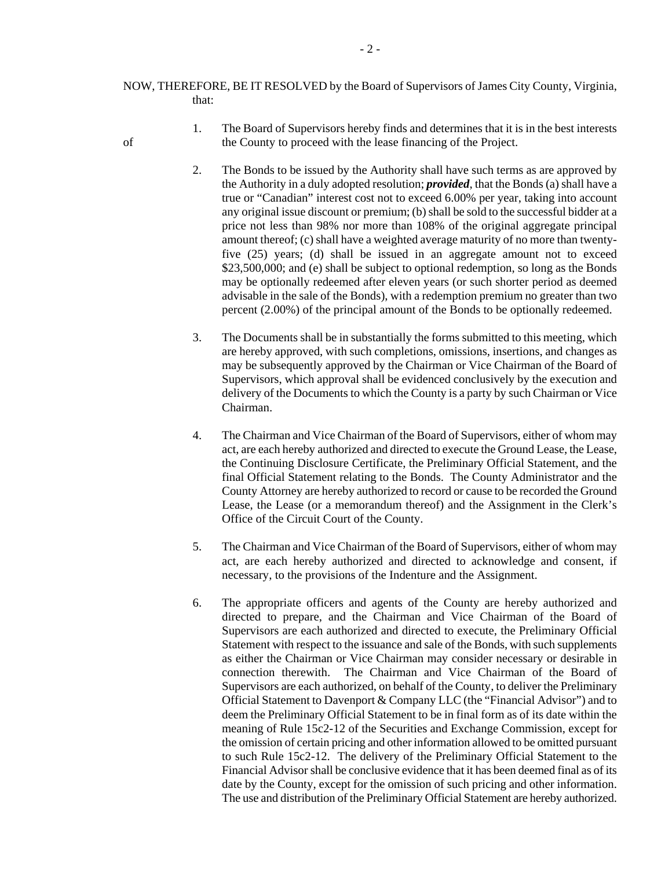- NOW, THEREFORE, BE IT RESOLVED by the Board of Supervisors of James City County, Virginia, that:
- 1. The Board of Supervisors hereby finds and determines that it is in the best interests of the County to proceed with the lease financing of the Project.
	- 2. The Bonds to be issued by the Authority shall have such terms as are approved by the Authority in a duly adopted resolution; *provided*, that the Bonds (a) shall have a true or "Canadian" interest cost not to exceed 6.00% per year, taking into account any original issue discount or premium; (b) shall be sold to the successful bidder at a price not less than 98% nor more than 108% of the original aggregate principal amount thereof; (c) shall have a weighted average maturity of no more than twentyfive (25) years; (d) shall be issued in an aggregate amount not to exceed \$23,500,000; and (e) shall be subject to optional redemption, so long as the Bonds may be optionally redeemed after eleven years (or such shorter period as deemed advisable in the sale of the Bonds), with a redemption premium no greater than two percent (2.00%) of the principal amount of the Bonds to be optionally redeemed.
	- 3. The Documents shall be in substantially the forms submitted to this meeting, which are hereby approved, with such completions, omissions, insertions, and changes as may be subsequently approved by the Chairman or Vice Chairman of the Board of Supervisors, which approval shall be evidenced conclusively by the execution and delivery of the Documents to which the County is a party by such Chairman or Vice Chairman.
	- 4. The Chairman and Vice Chairman of the Board of Supervisors, either of whom may act, are each hereby authorized and directed to execute the Ground Lease, the Lease, the Continuing Disclosure Certificate, the Preliminary Official Statement, and the final Official Statement relating to the Bonds. The County Administrator and the County Attorney are hereby authorized to record or cause to be recorded the Ground Lease, the Lease (or a memorandum thereof) and the Assignment in the Clerk's Office of the Circuit Court of the County.
	- 5. The Chairman and Vice Chairman of the Board of Supervisors, either of whom may act, are each hereby authorized and directed to acknowledge and consent, if necessary, to the provisions of the Indenture and the Assignment.
	- 6. The appropriate officers and agents of the County are hereby authorized and directed to prepare, and the Chairman and Vice Chairman of the Board of Supervisors are each authorized and directed to execute, the Preliminary Official Statement with respect to the issuance and sale of the Bonds, with such supplements as either the Chairman or Vice Chairman may consider necessary or desirable in connection therewith. The Chairman and Vice Chairman of the Board of Supervisors are each authorized, on behalf of the County, to deliver the Preliminary Official Statement to Davenport & Company LLC (the "Financial Advisor") and to deem the Preliminary Official Statement to be in final form as of its date within the meaning of Rule 15c2-12 of the Securities and Exchange Commission, except for the omission of certain pricing and other information allowed to be omitted pursuant to such Rule 15c2-12. The delivery of the Preliminary Official Statement to the Financial Advisor shall be conclusive evidence that it has been deemed final as of its date by the County, except for the omission of such pricing and other information. The use and distribution of the Preliminary Official Statement are hereby authorized.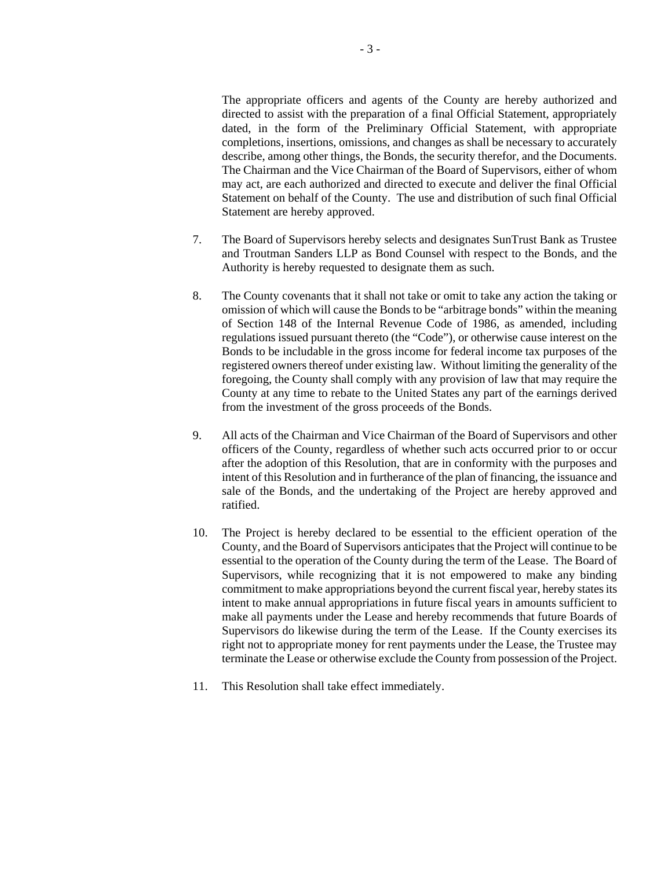The appropriate officers and agents of the County are hereby authorized and directed to assist with the preparation of a final Official Statement, appropriately dated, in the form of the Preliminary Official Statement, with appropriate completions, insertions, omissions, and changes as shall be necessary to accurately describe, among other things, the Bonds, the security therefor, and the Documents. The Chairman and the Vice Chairman of the Board of Supervisors, either of whom may act, are each authorized and directed to execute and deliver the final Official Statement on behalf of the County. The use and distribution of such final Official Statement are hereby approved.

- 7. The Board of Supervisors hereby selects and designates SunTrust Bank as Trustee and Troutman Sanders LLP as Bond Counsel with respect to the Bonds, and the Authority is hereby requested to designate them as such.
- 8. The County covenants that it shall not take or omit to take any action the taking or omission of which will cause the Bonds to be "arbitrage bonds" within the meaning of Section 148 of the Internal Revenue Code of 1986, as amended, including regulations issued pursuant thereto (the "Code"), or otherwise cause interest on the Bonds to be includable in the gross income for federal income tax purposes of the registered owners thereof under existing law. Without limiting the generality of the foregoing, the County shall comply with any provision of law that may require the County at any time to rebate to the United States any part of the earnings derived from the investment of the gross proceeds of the Bonds.
- 9. All acts of the Chairman and Vice Chairman of the Board of Supervisors and other officers of the County, regardless of whether such acts occurred prior to or occur after the adoption of this Resolution, that are in conformity with the purposes and intent of this Resolution and in furtherance of the plan of financing, the issuance and sale of the Bonds, and the undertaking of the Project are hereby approved and ratified.
- 10. The Project is hereby declared to be essential to the efficient operation of the County, and the Board of Supervisors anticipates that the Project will continue to be essential to the operation of the County during the term of the Lease. The Board of Supervisors, while recognizing that it is not empowered to make any binding commitment to make appropriations beyond the current fiscal year, hereby states its intent to make annual appropriations in future fiscal years in amounts sufficient to make all payments under the Lease and hereby recommends that future Boards of Supervisors do likewise during the term of the Lease. If the County exercises its right not to appropriate money for rent payments under the Lease, the Trustee may terminate the Lease or otherwise exclude the County from possession of the Project.
- 11. This Resolution shall take effect immediately.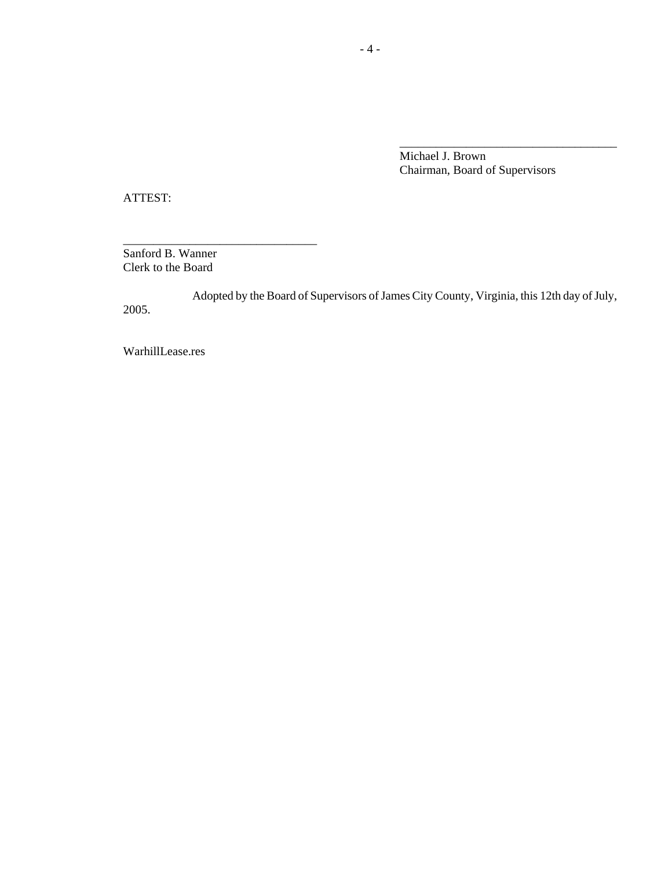Michael J. Brown Chairman, Board of Supervisors

\_\_\_\_\_\_\_\_\_\_\_\_\_\_\_\_\_\_\_\_\_\_\_\_\_\_\_\_\_\_\_\_\_\_\_\_

ATTEST:

Sanford B. Wanner Clerk to the Board

\_\_\_\_\_\_\_\_\_\_\_\_\_\_\_\_\_\_\_\_\_\_\_\_\_\_\_\_\_\_\_\_

Adopted by the Board of Supervisors of James City County, Virginia, this 12th day of July, 2005.

WarhillLease.res